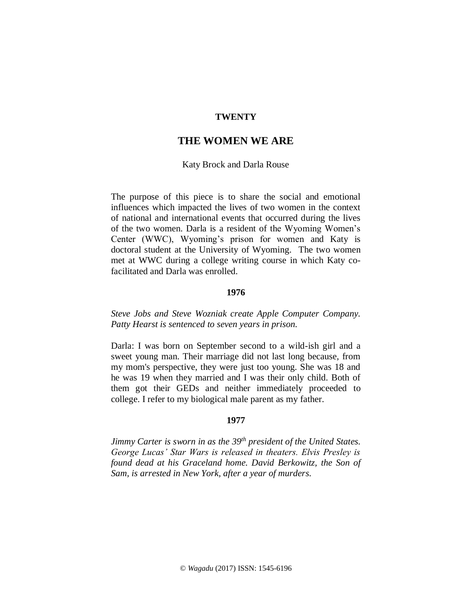# **TWENTY**

# **THE WOMEN WE ARE**

## Katy Brock and Darla Rouse

The purpose of this piece is to share the social and emotional influences which impacted the lives of two women in the context of national and international events that occurred during the lives of the two women. Darla is a resident of the Wyoming Women's Center (WWC), Wyoming's prison for women and Katy is doctoral student at the University of Wyoming. The two women met at WWC during a college writing course in which Katy cofacilitated and Darla was enrolled.

# **1976**

*Steve Jobs and Steve Wozniak create Apple Computer Company. Patty Hearst is sentenced to seven years in prison.* 

Darla: I was born on September second to a wild-ish girl and a sweet young man. Their marriage did not last long because, from my mom's perspective, they were just too young. She was 18 and he was 19 when they married and I was their only child. Both of them got their GEDs and neither immediately proceeded to college. I refer to my biological male parent as my father.

## **1977**

*Jimmy Carter is sworn in as the 39th president of the United States. George Lucas' Star Wars is released in theaters. Elvis Presley is found dead at his Graceland home. David Berkowitz, the Son of Sam, is arrested in New York, after a year of murders.*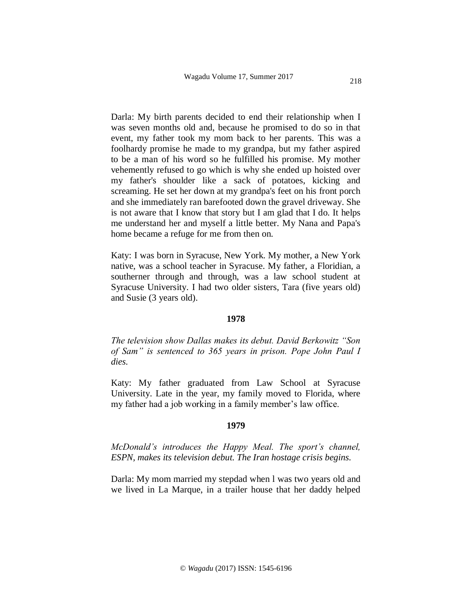Darla: My birth parents decided to end their relationship when I was seven months old and, because he promised to do so in that event, my father took my mom back to her parents. This was a foolhardy promise he made to my grandpa, but my father aspired to be a man of his word so he fulfilled his promise. My mother vehemently refused to go which is why she ended up hoisted over my father's shoulder like a sack of potatoes, kicking and screaming. He set her down at my grandpa's feet on his front porch and she immediately ran barefooted down the gravel driveway. She is not aware that I know that story but I am glad that I do. It helps me understand her and myself a little better. My Nana and Papa's home became a refuge for me from then on.

Katy: I was born in Syracuse, New York. My mother, a New York native, was a school teacher in Syracuse. My father, a Floridian, a southerner through and through, was a law school student at Syracuse University. I had two older sisters, Tara (five years old) and Susie (3 years old).

### **1978**

*The television show Dallas makes its debut. David Berkowitz "Son of Sam" is sentenced to 365 years in prison. Pope John Paul I dies.*

Katy: My father graduated from Law School at Syracuse University. Late in the year, my family moved to Florida, where my father had a job working in a family member's law office.

#### **1979**

*McDonald's introduces the Happy Meal. The sport's channel, ESPN, makes its television debut. The Iran hostage crisis begins.*

Darla: My mom married my stepdad when l was two years old and we lived in La Marque, in a trailer house that her daddy helped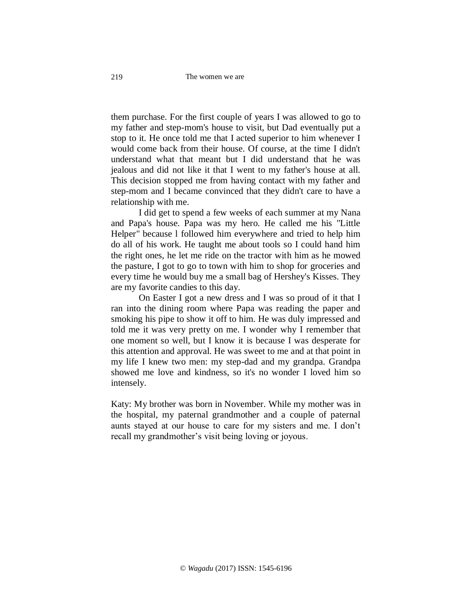them purchase. For the first couple of years I was allowed to go to my father and step-mom's house to visit, but Dad eventually put a stop to it. He once told me that I acted superior to him whenever I would come back from their house. Of course, at the time I didn't understand what that meant but I did understand that he was jealous and did not like it that I went to my father's house at all. This decision stopped me from having contact with my father and step-mom and I became convinced that they didn't care to have a relationship with me.

I did get to spend a few weeks of each summer at my Nana and Papa's house. Papa was my hero. He called me his "Little Helper" because l followed him everywhere and tried to help him do all of his work. He taught me about tools so I could hand him the right ones, he let me ride on the tractor with him as he mowed the pasture, I got to go to town with him to shop for groceries and every time he would buy me a small bag of Hershey's Kisses. They are my favorite candies to this day.

On Easter I got a new dress and I was so proud of it that I ran into the dining room where Papa was reading the paper and smoking his pipe to show it off to him. He was duly impressed and told me it was very pretty on me. I wonder why I remember that one moment so well, but I know it is because I was desperate for this attention and approval. He was sweet to me and at that point in my life I knew two men: my step-dad and my grandpa. Grandpa showed me love and kindness, so it's no wonder I loved him so intensely.

Katy: My brother was born in November. While my mother was in the hospital, my paternal grandmother and a couple of paternal aunts stayed at our house to care for my sisters and me. I don't recall my grandmother's visit being loving or joyous.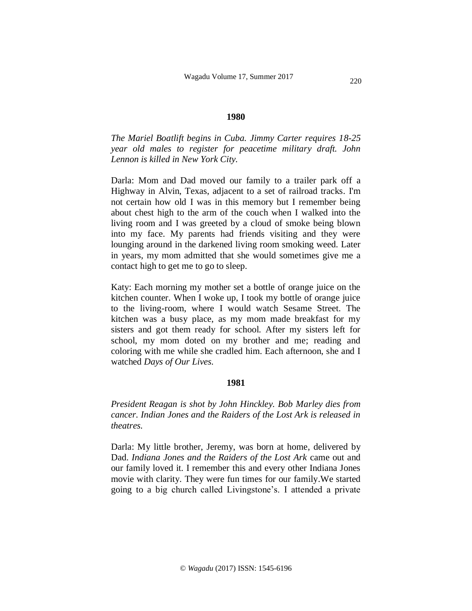#### **1980**

*The Mariel Boatlift begins in Cuba. Jimmy Carter requires 18-25 year old males to register for peacetime military draft. John Lennon is killed in New York City.*

Darla: Mom and Dad moved our family to a trailer park off a Highway in Alvin, Texas, adjacent to a set of railroad tracks. I'm not certain how old I was in this memory but I remember being about chest high to the arm of the couch when I walked into the living room and I was greeted by a cloud of smoke being blown into my face. My parents had friends visiting and they were lounging around in the darkened living room smoking weed. Later in years, my mom admitted that she would sometimes give me a contact high to get me to go to sleep.

Katy: Each morning my mother set a bottle of orange juice on the kitchen counter. When I woke up, I took my bottle of orange juice to the living-room, where I would watch Sesame Street. The kitchen was a busy place, as my mom made breakfast for my sisters and got them ready for school. After my sisters left for school, my mom doted on my brother and me; reading and coloring with me while she cradled him. Each afternoon, she and I watched *Days of Our Lives.*

## **1981**

*President Reagan is shot by John Hinckley. Bob Marley dies from cancer. Indian Jones and the Raiders of the Lost Ark is released in theatres.*

Darla: My little brother, Jeremy, was born at home, delivered by Dad. *Indiana Jones and the Raiders of the Lost Ark* came out and our family loved it. I remember this and every other Indiana Jones movie with clarity. They were fun times for our family.We started going to a big church called Livingstone's. I attended a private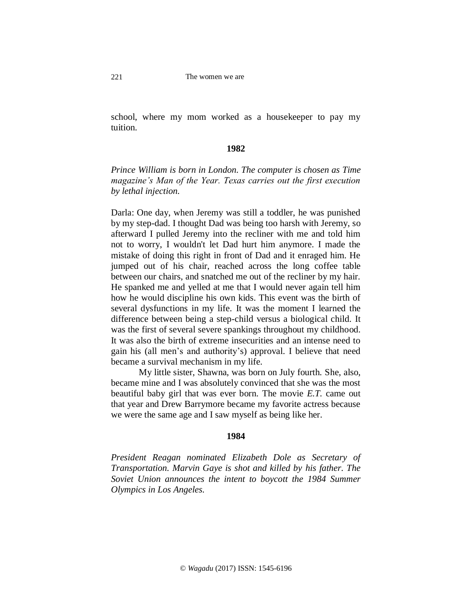school, where my mom worked as a housekeeper to pay my tuition.

## **1982**

*Prince William is born in London. The computer is chosen as Time magazine's Man of the Year. Texas carries out the first execution by lethal injection.*

Darla: One day, when Jeremy was still a toddler, he was punished by my step-dad. I thought Dad was being too harsh with Jeremy, so afterward I pulled Jeremy into the recliner with me and told him not to worry, I wouldn't let Dad hurt him anymore. I made the mistake of doing this right in front of Dad and it enraged him. He jumped out of his chair, reached across the long coffee table between our chairs, and snatched me out of the recliner by my hair. He spanked me and yelled at me that I would never again tell him how he would discipline his own kids. This event was the birth of several dysfunctions in my life. It was the moment I learned the difference between being a step-child versus a biological child. It was the first of several severe spankings throughout my childhood. It was also the birth of extreme insecurities and an intense need to gain his (all men's and authority's) approval. I believe that need became a survival mechanism in my life.

My little sister, Shawna, was born on July fourth. She, also, became mine and I was absolutely convinced that she was the most beautiful baby girl that was ever born. The movie *E.T.* came out that year and Drew Barrymore became my favorite actress because we were the same age and I saw myself as being like her.

#### **1984**

*President Reagan nominated Elizabeth Dole as Secretary of Transportation. Marvin Gaye is shot and killed by his father. The Soviet Union announces the intent to boycott the 1984 Summer Olympics in Los Angeles.*

221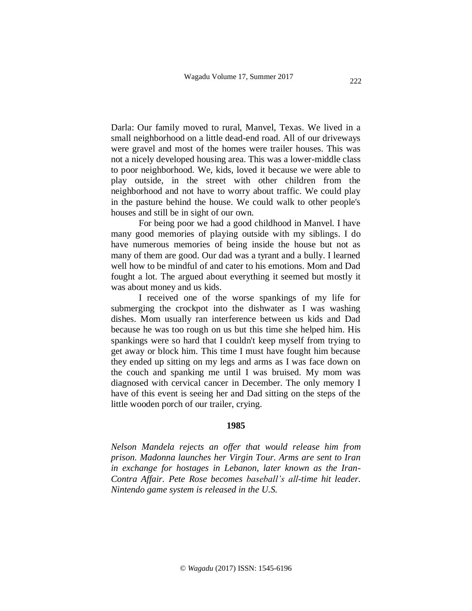Darla: Our family moved to rural, Manvel, Texas. We lived in a small neighborhood on a little dead-end road. All of our driveways were gravel and most of the homes were trailer houses. This was not a nicely developed housing area. This was a lower-middle class to poor neighborhood. We, kids, loved it because we were able to play outside, in the street with other children from the neighborhood and not have to worry about traffic. We could play in the pasture behind the house. We could walk to other people's houses and still be in sight of our own.

For being poor we had a good childhood in Manvel. I have many good memories of playing outside with my siblings. I do have numerous memories of being inside the house but not as many of them are good. Our dad was a tyrant and a bully. I learned well how to be mindful of and cater to his emotions. Mom and Dad fought a lot. The argued about everything it seemed but mostly it was about money and us kids.

I received one of the worse spankings of my life for submerging the crockpot into the dishwater as I was washing dishes. Mom usually ran interference between us kids and Dad because he was too rough on us but this time she helped him. His spankings were so hard that I couldn't keep myself from trying to get away or block him. This time I must have fought him because they ended up sitting on my legs and arms as I was face down on the couch and spanking me until I was bruised. My mom was diagnosed with cervical cancer in December. The only memory I have of this event is seeing her and Dad sitting on the steps of the little wooden porch of our trailer, crying.

#### **1985**

*Nelson Mandela rejects an offer that would release him from prison. Madonna launches her Virgin Tour. Arms are sent to Iran in exchange for hostages in Lebanon, later known as the Iran-Contra Affair. Pete Rose becomes baseball's all-time hit leader. Nintendo game system is released in the U.S.*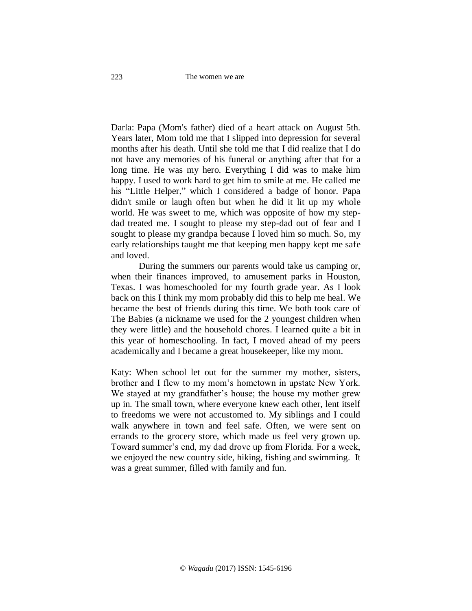#### The women we are

Darla: Papa (Mom's father) died of a heart attack on August 5th. Years later, Mom told me that I slipped into depression for several months after his death. Until she told me that I did realize that I do not have any memories of his funeral or anything after that for a long time. He was my hero. Everything I did was to make him happy. I used to work hard to get him to smile at me. He called me his "Little Helper," which I considered a badge of honor. Papa didn't smile or laugh often but when he did it lit up my whole world. He was sweet to me, which was opposite of how my stepdad treated me. I sought to please my step-dad out of fear and I sought to please my grandpa because I loved him so much. So, my early relationships taught me that keeping men happy kept me safe and loved.

During the summers our parents would take us camping or, when their finances improved, to amusement parks in Houston, Texas. I was homeschooled for my fourth grade year. As I look back on this I think my mom probably did this to help me heal. We became the best of friends during this time. We both took care of The Babies (a nickname we used for the 2 youngest children when they were little) and the household chores. I learned quite a bit in this year of homeschooling. In fact, I moved ahead of my peers academically and I became a great housekeeper, like my mom.

Katy: When school let out for the summer my mother, sisters, brother and I flew to my mom's hometown in upstate New York. We stayed at my grandfather's house; the house my mother grew up in. The small town, where everyone knew each other, lent itself to freedoms we were not accustomed to. My siblings and I could walk anywhere in town and feel safe. Often, we were sent on errands to the grocery store, which made us feel very grown up. Toward summer's end, my dad drove up from Florida. For a week, we enjoyed the new country side, hiking, fishing and swimming. It was a great summer, filled with family and fun.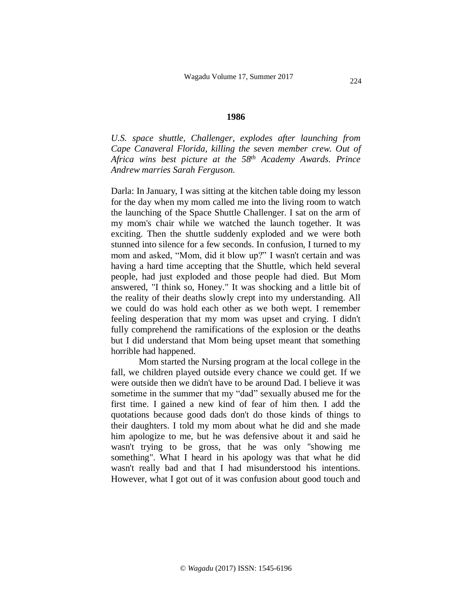#### **1986**

*U.S. space shuttle, Challenger, explodes after launching from Cape Canaveral Florida, killing the seven member crew. Out of Africa wins best picture at the 58th Academy Awards. Prince Andrew marries Sarah Ferguson.*

Darla: In January, I was sitting at the kitchen table doing my lesson for the day when my mom called me into the living room to watch the launching of the Space Shuttle Challenger. I sat on the arm of my mom's chair while we watched the launch together. It was exciting. Then the shuttle suddenly exploded and we were both stunned into silence for a few seconds. In confusion, I turned to my mom and asked, "Mom, did it blow up?" I wasn't certain and was having a hard time accepting that the Shuttle, which held several people, had just exploded and those people had died. But Mom answered, "I think so, Honey." It was shocking and a little bit of the reality of their deaths slowly crept into my understanding. All we could do was hold each other as we both wept. I remember feeling desperation that my mom was upset and crying. I didn't fully comprehend the ramifications of the explosion or the deaths but I did understand that Mom being upset meant that something horrible had happened.

Mom started the Nursing program at the local college in the fall, we children played outside every chance we could get. If we were outside then we didn't have to be around Dad. I believe it was sometime in the summer that my "dad" sexually abused me for the first time. I gained a new kind of fear of him then. I add the quotations because good dads don't do those kinds of things to their daughters. I told my mom about what he did and she made him apologize to me, but he was defensive about it and said he wasn't trying to be gross, that he was only "showing me something". What I heard in his apology was that what he did wasn't really bad and that I had misunderstood his intentions. However, what I got out of it was confusion about good touch and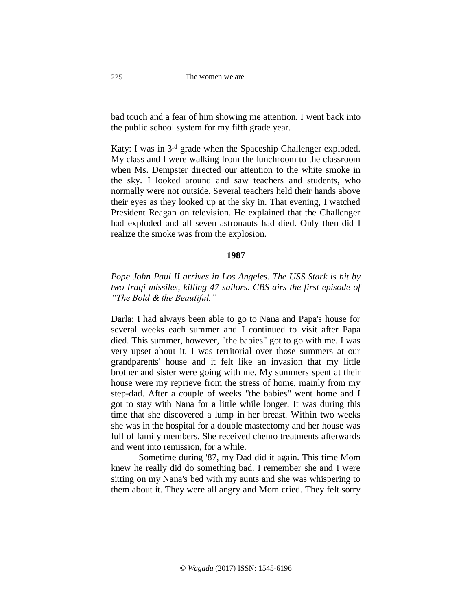#### The women we are

bad touch and a fear of him showing me attention. I went back into the public school system for my fifth grade year.

Katy: I was in 3<sup>rd</sup> grade when the Spaceship Challenger exploded. My class and I were walking from the lunchroom to the classroom when Ms. Dempster directed our attention to the white smoke in the sky. I looked around and saw teachers and students, who normally were not outside. Several teachers held their hands above their eyes as they looked up at the sky in. That evening, I watched President Reagan on television. He explained that the Challenger had exploded and all seven astronauts had died. Only then did I realize the smoke was from the explosion.

### **1987**

# *Pope John Paul II arrives in Los Angeles. The USS Stark is hit by two Iraqi missiles, killing 47 sailors. CBS airs the first episode of "The Bold & the Beautiful."*

Darla: I had always been able to go to Nana and Papa's house for several weeks each summer and I continued to visit after Papa died. This summer, however, "the babies" got to go with me. I was very upset about it. I was territorial over those summers at our grandparents' house and it felt like an invasion that my little brother and sister were going with me. My summers spent at their house were my reprieve from the stress of home, mainly from my step-dad. After a couple of weeks "the babies" went home and I got to stay with Nana for a little while longer. It was during this time that she discovered a lump in her breast. Within two weeks she was in the hospital for a double mastectomy and her house was full of family members. She received chemo treatments afterwards and went into remission, for a while.

Sometime during '87, my Dad did it again. This time Mom knew he really did do something bad. I remember she and I were sitting on my Nana's bed with my aunts and she was whispering to them about it. They were all angry and Mom cried. They felt sorry

225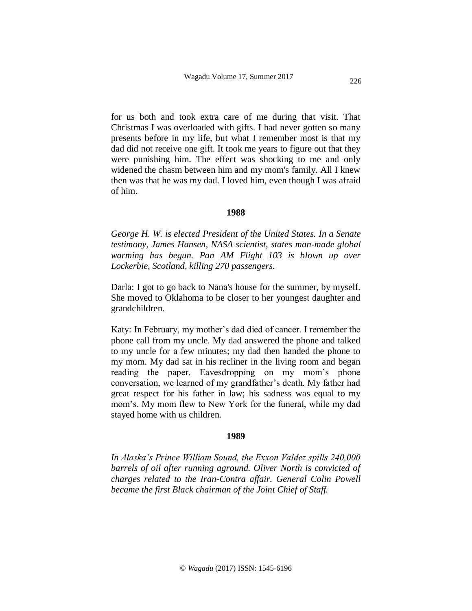for us both and took extra care of me during that visit. That Christmas I was overloaded with gifts. I had never gotten so many presents before in my life, but what I remember most is that my dad did not receive one gift. It took me years to figure out that they were punishing him. The effect was shocking to me and only widened the chasm between him and my mom's family. All I knew then was that he was my dad. I loved him, even though I was afraid of him.

#### **1988**

*George H. W. is elected President of the United States. In a Senate testimony, James Hansen, NASA scientist, states man-made global warming has begun. Pan AM Flight 103 is blown up over Lockerbie, Scotland, killing 270 passengers.*

Darla: I got to go back to Nana's house for the summer, by myself. She moved to Oklahoma to be closer to her youngest daughter and grandchildren.

Katy: In February, my mother's dad died of cancer. I remember the phone call from my uncle. My dad answered the phone and talked to my uncle for a few minutes; my dad then handed the phone to my mom. My dad sat in his recliner in the living room and began reading the paper. Eavesdropping on my mom's phone conversation, we learned of my grandfather's death. My father had great respect for his father in law; his sadness was equal to my mom's. My mom flew to New York for the funeral, while my dad stayed home with us children.

#### **1989**

*In Alaska's Prince William Sound, the Exxon Valdez spills 240,000 barrels of oil after running aground. Oliver North is convicted of charges related to the Iran-Contra affair. General Colin Powell became the first Black chairman of the Joint Chief of Staff.*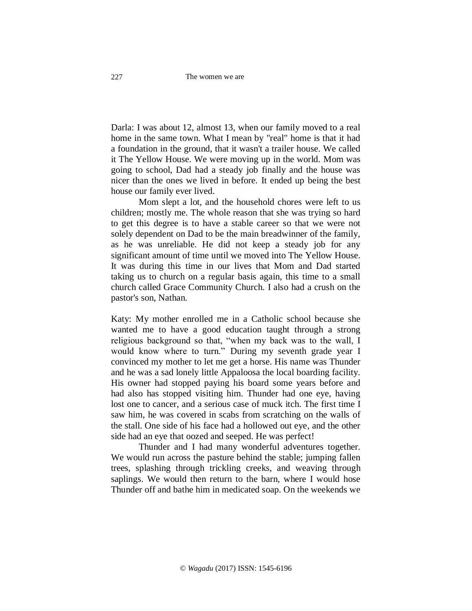Darla: I was about 12, almost 13, when our family moved to a real home in the same town. What I mean by "real" home is that it had a foundation in the ground, that it wasn't a trailer house. We called it The Yellow House. We were moving up in the world. Mom was going to school, Dad had a steady job finally and the house was nicer than the ones we lived in before. It ended up being the best house our family ever lived.

Mom slept a lot, and the household chores were left to us children; mostly me. The whole reason that she was trying so hard to get this degree is to have a stable career so that we were not solely dependent on Dad to be the main breadwinner of the family, as he was unreliable. He did not keep a steady job for any significant amount of time until we moved into The Yellow House. It was during this time in our lives that Mom and Dad started taking us to church on a regular basis again, this time to a small church called Grace Community Church. I also had a crush on the pastor's son, Nathan.

Katy: My mother enrolled me in a Catholic school because she wanted me to have a good education taught through a strong religious background so that, "when my back was to the wall, I would know where to turn." During my seventh grade year I convinced my mother to let me get a horse. His name was Thunder and he was a sad lonely little Appaloosa the local boarding facility. His owner had stopped paying his board some years before and had also has stopped visiting him. Thunder had one eye, having lost one to cancer, and a serious case of muck itch. The first time I saw him, he was covered in scabs from scratching on the walls of the stall. One side of his face had a hollowed out eye, and the other side had an eye that oozed and seeped. He was perfect!

Thunder and I had many wonderful adventures together. We would run across the pasture behind the stable; jumping fallen trees, splashing through trickling creeks, and weaving through saplings. We would then return to the barn, where I would hose Thunder off and bathe him in medicated soap. On the weekends we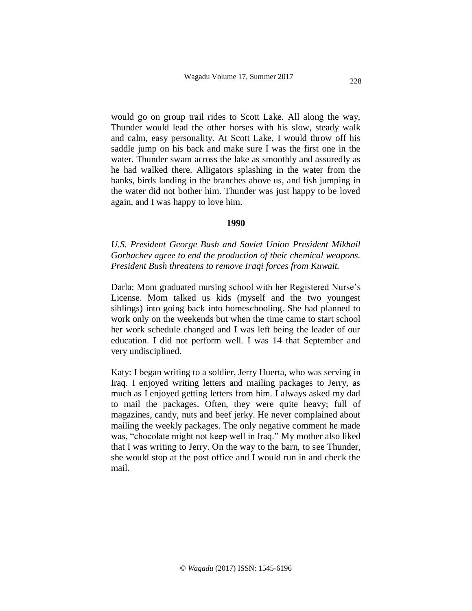would go on group trail rides to Scott Lake. All along the way, Thunder would lead the other horses with his slow, steady walk and calm, easy personality. At Scott Lake, I would throw off his saddle jump on his back and make sure I was the first one in the water. Thunder swam across the lake as smoothly and assuredly as he had walked there. Alligators splashing in the water from the banks, birds landing in the branches above us, and fish jumping in the water did not bother him. Thunder was just happy to be loved again, and I was happy to love him.

#### **1990**

*U.S. President George Bush and Soviet Union President Mikhail Gorbachev agree to end the production of their chemical weapons. President Bush threatens to remove Iraqi forces from Kuwait.*

Darla: Mom graduated nursing school with her Registered Nurse's License. Mom talked us kids (myself and the two youngest siblings) into going back into homeschooling. She had planned to work only on the weekends but when the time came to start school her work schedule changed and I was left being the leader of our education. I did not perform well. I was 14 that September and very undisciplined.

Katy: I began writing to a soldier, Jerry Huerta, who was serving in Iraq. I enjoyed writing letters and mailing packages to Jerry, as much as I enjoyed getting letters from him. I always asked my dad to mail the packages. Often, they were quite heavy; full of magazines, candy, nuts and beef jerky. He never complained about mailing the weekly packages. The only negative comment he made was, "chocolate might not keep well in Iraq." My mother also liked that I was writing to Jerry. On the way to the barn, to see Thunder, she would stop at the post office and I would run in and check the mail.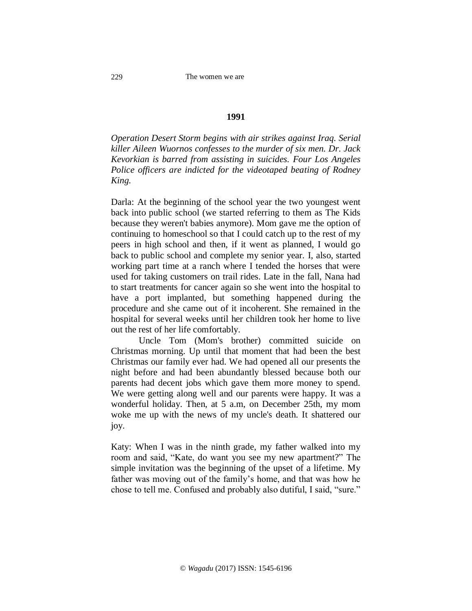## **1991**

*Operation Desert Storm begins with air strikes against Iraq. Serial killer Aileen Wuornos confesses to the murder of six men. Dr. Jack Kevorkian is barred from assisting in suicides. Four Los Angeles Police officers are indicted for the videotaped beating of Rodney King.*

Darla: At the beginning of the school year the two youngest went back into public school (we started referring to them as The Kids because they weren't babies anymore). Mom gave me the option of continuing to homeschool so that I could catch up to the rest of my peers in high school and then, if it went as planned, I would go back to public school and complete my senior year. I, also, started working part time at a ranch where I tended the horses that were used for taking customers on trail rides. Late in the fall, Nana had to start treatments for cancer again so she went into the hospital to have a port implanted, but something happened during the procedure and she came out of it incoherent. She remained in the hospital for several weeks until her children took her home to live out the rest of her life comfortably.

Uncle Tom (Mom's brother) committed suicide on Christmas morning. Up until that moment that had been the best Christmas our family ever had. We had opened all our presents the night before and had been abundantly blessed because both our parents had decent jobs which gave them more money to spend. We were getting along well and our parents were happy. It was a wonderful holiday. Then, at 5 a.m, on December 25th, my mom woke me up with the news of my uncle's death. It shattered our joy.

Katy: When I was in the ninth grade, my father walked into my room and said, "Kate, do want you see my new apartment?" The simple invitation was the beginning of the upset of a lifetime. My father was moving out of the family's home, and that was how he chose to tell me. Confused and probably also dutiful, I said, "sure."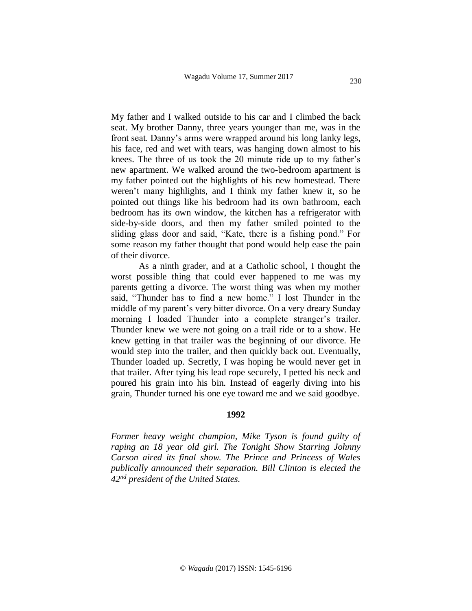My father and I walked outside to his car and I climbed the back seat. My brother Danny, three years younger than me, was in the front seat. Danny's arms were wrapped around his long lanky legs, his face, red and wet with tears, was hanging down almost to his knees. The three of us took the 20 minute ride up to my father's new apartment. We walked around the two-bedroom apartment is my father pointed out the highlights of his new homestead. There weren't many highlights, and I think my father knew it, so he pointed out things like his bedroom had its own bathroom, each bedroom has its own window, the kitchen has a refrigerator with side-by-side doors, and then my father smiled pointed to the sliding glass door and said, "Kate, there is a fishing pond." For some reason my father thought that pond would help ease the pain of their divorce.

As a ninth grader, and at a Catholic school, I thought the worst possible thing that could ever happened to me was my parents getting a divorce. The worst thing was when my mother said, "Thunder has to find a new home." I lost Thunder in the middle of my parent's very bitter divorce. On a very dreary Sunday morning I loaded Thunder into a complete stranger's trailer. Thunder knew we were not going on a trail ride or to a show. He knew getting in that trailer was the beginning of our divorce. He would step into the trailer, and then quickly back out. Eventually, Thunder loaded up. Secretly, I was hoping he would never get in that trailer. After tying his lead rope securely, I petted his neck and poured his grain into his bin. Instead of eagerly diving into his grain, Thunder turned his one eye toward me and we said goodbye.

### **1992**

*Former heavy weight champion, Mike Tyson is found guilty of raping an 18 year old girl. The Tonight Show Starring Johnny Carson aired its final show. The Prince and Princess of Wales publically announced their separation. Bill Clinton is elected the 42nd president of the United States.*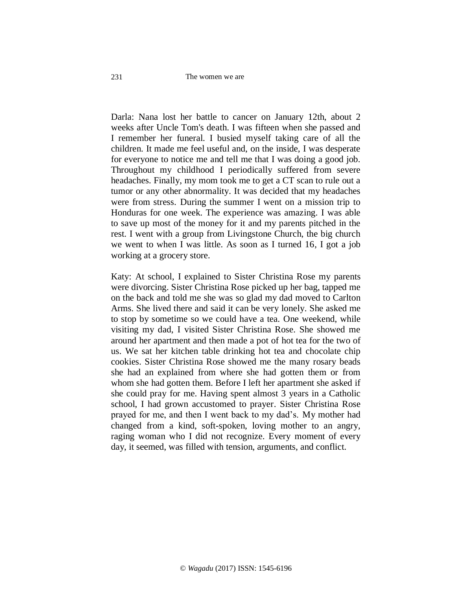#### The women we are

Darla: Nana lost her battle to cancer on January 12th, about 2 weeks after Uncle Tom's death. I was fifteen when she passed and I remember her funeral. I busied myself taking care of all the children. It made me feel useful and, on the inside, I was desperate for everyone to notice me and tell me that I was doing a good job. Throughout my childhood I periodically suffered from severe headaches. Finally, my mom took me to get a CT scan to rule out a tumor or any other abnormality. It was decided that my headaches were from stress. During the summer I went on a mission trip to Honduras for one week. The experience was amazing. I was able to save up most of the money for it and my parents pitched in the rest. I went with a group from Livingstone Church, the big church we went to when I was little. As soon as I turned 16, I got a job working at a grocery store.

Katy: At school, I explained to Sister Christina Rose my parents were divorcing. Sister Christina Rose picked up her bag, tapped me on the back and told me she was so glad my dad moved to Carlton Arms. She lived there and said it can be very lonely. She asked me to stop by sometime so we could have a tea. One weekend, while visiting my dad, I visited Sister Christina Rose. She showed me around her apartment and then made a pot of hot tea for the two of us. We sat her kitchen table drinking hot tea and chocolate chip cookies. Sister Christina Rose showed me the many rosary beads she had an explained from where she had gotten them or from whom she had gotten them. Before I left her apartment she asked if she could pray for me. Having spent almost 3 years in a Catholic school, I had grown accustomed to prayer. Sister Christina Rose prayed for me, and then I went back to my dad's. My mother had changed from a kind, soft-spoken, loving mother to an angry, raging woman who I did not recognize. Every moment of every day, it seemed, was filled with tension, arguments, and conflict.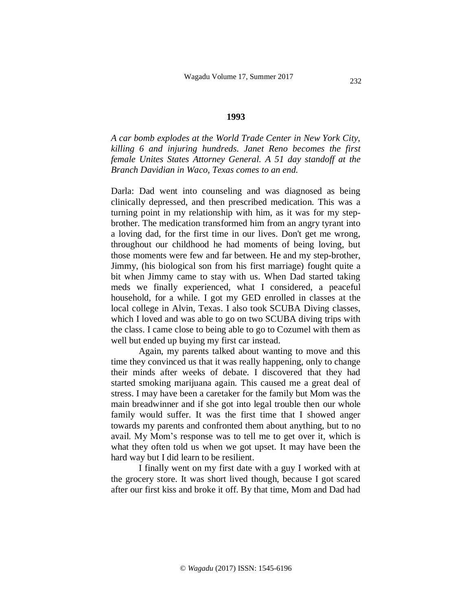#### **1993**

*A car bomb explodes at the World Trade Center in New York City, killing 6 and injuring hundreds. Janet Reno becomes the first female Unites States Attorney General. A 51 day standoff at the Branch Davidian in Waco, Texas comes to an end.* 

Darla: Dad went into counseling and was diagnosed as being clinically depressed, and then prescribed medication. This was a turning point in my relationship with him, as it was for my stepbrother. The medication transformed him from an angry tyrant into a loving dad, for the first time in our lives. Don't get me wrong, throughout our childhood he had moments of being loving, but those moments were few and far between. He and my step-brother, Jimmy, (his biological son from his first marriage) fought quite a bit when Jimmy came to stay with us. When Dad started taking meds we finally experienced, what I considered, a peaceful household, for a while. I got my GED enrolled in classes at the local college in Alvin, Texas. I also took SCUBA Diving classes, which I loved and was able to go on two SCUBA diving trips with the class. I came close to being able to go to Cozumel with them as well but ended up buying my first car instead.

Again, my parents talked about wanting to move and this time they convinced us that it was really happening, only to change their minds after weeks of debate. I discovered that they had started smoking marijuana again. This caused me a great deal of stress. I may have been a caretaker for the family but Mom was the main breadwinner and if she got into legal trouble then our whole family would suffer. It was the first time that I showed anger towards my parents and confronted them about anything, but to no avail. My Mom's response was to tell me to get over it, which is what they often told us when we got upset. It may have been the hard way but I did learn to be resilient.

I finally went on my first date with a guy I worked with at the grocery store. It was short lived though, because I got scared after our first kiss and broke it off. By that time, Mom and Dad had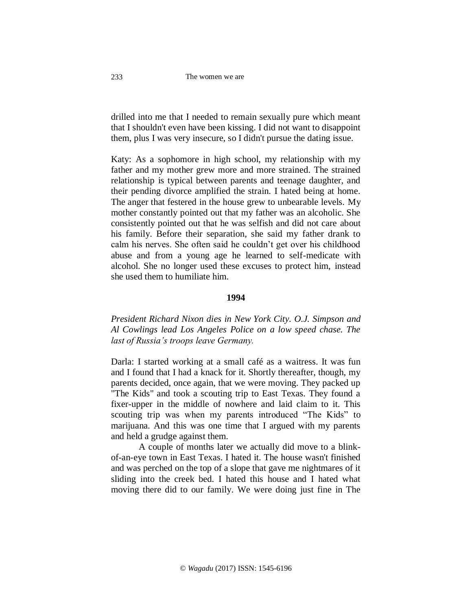drilled into me that I needed to remain sexually pure which meant that I shouldn't even have been kissing. I did not want to disappoint them, plus I was very insecure, so I didn't pursue the dating issue.

Katy: As a sophomore in high school, my relationship with my father and my mother grew more and more strained. The strained relationship is typical between parents and teenage daughter, and their pending divorce amplified the strain. I hated being at home. The anger that festered in the house grew to unbearable levels. My mother constantly pointed out that my father was an alcoholic. She consistently pointed out that he was selfish and did not care about his family. Before their separation, she said my father drank to calm his nerves. She often said he couldn't get over his childhood abuse and from a young age he learned to self-medicate with alcohol. She no longer used these excuses to protect him, instead she used them to humiliate him.

#### **1994**

*President Richard Nixon dies in New York City. O.J. Simpson and Al Cowlings lead Los Angeles Police on a low speed chase. The last of Russia's troops leave Germany.*

Darla: I started working at a small café as a waitress. It was fun and I found that I had a knack for it. Shortly thereafter, though, my parents decided, once again, that we were moving. They packed up "The Kids" and took a scouting trip to East Texas. They found a fixer-upper in the middle of nowhere and laid claim to it. This scouting trip was when my parents introduced "The Kids" to marijuana. And this was one time that I argued with my parents and held a grudge against them.

A couple of months later we actually did move to a blinkof-an-eye town in East Texas. I hated it. The house wasn't finished and was perched on the top of a slope that gave me nightmares of it sliding into the creek bed. I hated this house and I hated what moving there did to our family. We were doing just fine in The

233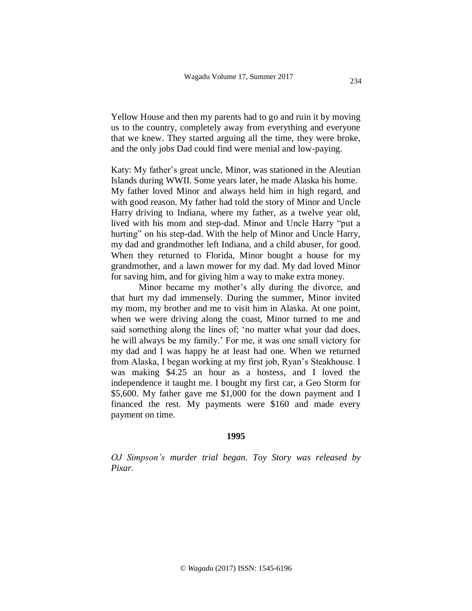Yellow House and then my parents had to go and ruin it by moving us to the country, completely away from everything and everyone that we knew. They started arguing all the time, they were broke, and the only jobs Dad could find were menial and low-paying.

Katy: My father's great uncle, Minor, was stationed in the Aleutian Islands during WWII. Some years later, he made Alaska his home. My father loved Minor and always held him in high regard, and with good reason. My father had told the story of Minor and Uncle Harry driving to Indiana, where my father, as a twelve year old, lived with his mom and step-dad. Minor and Uncle Harry "put a hurting" on his step-dad. With the help of Minor and Uncle Harry, my dad and grandmother left Indiana, and a child abuser, for good. When they returned to Florida, Minor bought a house for my grandmother, and a lawn mower for my dad. My dad loved Minor for saving him, and for giving him a way to make extra money.

Minor became my mother's ally during the divorce, and that hurt my dad immensely. During the summer, Minor invited my mom, my brother and me to visit him in Alaska. At one point, when we were driving along the coast, Minor turned to me and said something along the lines of; 'no matter what your dad does, he will always be my family.' For me, it was one small victory for my dad and I was happy he at least had one. When we returned from Alaska, I began working at my first job, Ryan's Steakhouse. I was making \$4.25 an hour as a hostess, and I loved the independence it taught me. I bought my first car, a Geo Storm for \$5,600. My father gave me \$1,000 for the down payment and I financed the rest. My payments were \$160 and made every payment on time.

#### **1995**

*OJ Simpson's murder trial began. Toy Story was released by Pixar.*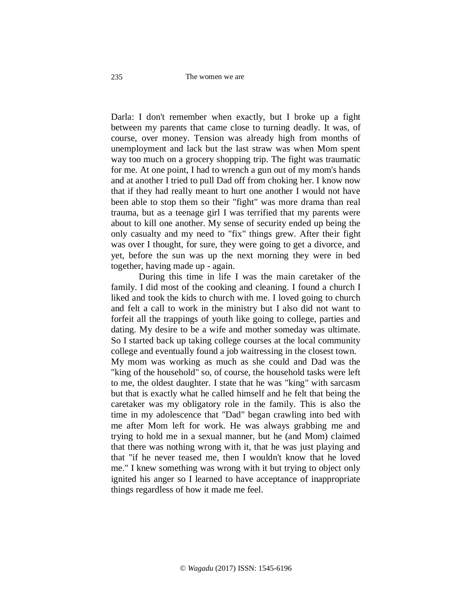Darla: I don't remember when exactly, but I broke up a fight between my parents that came close to turning deadly. It was, of course, over money. Tension was already high from months of unemployment and lack but the last straw was when Mom spent way too much on a grocery shopping trip. The fight was traumatic for me. At one point, I had to wrench a gun out of my mom's hands and at another I tried to pull Dad off from choking her. I know now that if they had really meant to hurt one another I would not have been able to stop them so their "fight" was more drama than real trauma, but as a teenage girl I was terrified that my parents were about to kill one another. My sense of security ended up being the only casualty and my need to "fix" things grew. After their fight was over I thought, for sure, they were going to get a divorce, and yet, before the sun was up the next morning they were in bed together, having made up - again.

During this time in life I was the main caretaker of the family. I did most of the cooking and cleaning. I found a church I liked and took the kids to church with me. I loved going to church and felt a call to work in the ministry but I also did not want to forfeit all the trappings of youth like going to college, parties and dating. My desire to be a wife and mother someday was ultimate. So I started back up taking college courses at the local community college and eventually found a job waitressing in the closest town. My mom was working as much as she could and Dad was the "king of the household" so, of course, the household tasks were left to me, the oldest daughter. I state that he was "king" with sarcasm but that is exactly what he called himself and he felt that being the caretaker was my obligatory role in the family. This is also the time in my adolescence that "Dad" began crawling into bed with me after Mom left for work. He was always grabbing me and trying to hold me in a sexual manner, but he (and Mom) claimed that there was nothing wrong with it, that he was just playing and that "if he never teased me, then I wouldn't know that he loved me." I knew something was wrong with it but trying to object only ignited his anger so I learned to have acceptance of inappropriate things regardless of how it made me feel.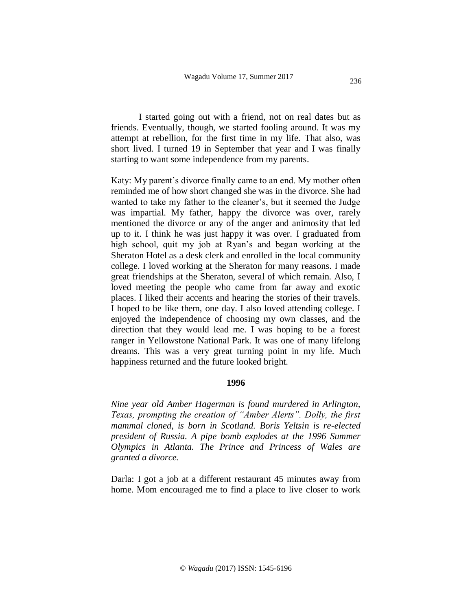I started going out with a friend, not on real dates but as friends. Eventually, though, we started fooling around. It was my attempt at rebellion, for the first time in my life. That also, was short lived. I turned 19 in September that year and I was finally starting to want some independence from my parents.

Katy: My parent's divorce finally came to an end. My mother often reminded me of how short changed she was in the divorce. She had wanted to take my father to the cleaner's, but it seemed the Judge was impartial. My father, happy the divorce was over, rarely mentioned the divorce or any of the anger and animosity that led up to it. I think he was just happy it was over. I graduated from high school, quit my job at Ryan's and began working at the Sheraton Hotel as a desk clerk and enrolled in the local community college. I loved working at the Sheraton for many reasons. I made great friendships at the Sheraton, several of which remain. Also, I loved meeting the people who came from far away and exotic places. I liked their accents and hearing the stories of their travels. I hoped to be like them, one day. I also loved attending college. I enjoyed the independence of choosing my own classes, and the direction that they would lead me. I was hoping to be a forest ranger in Yellowstone National Park. It was one of many lifelong dreams. This was a very great turning point in my life. Much happiness returned and the future looked bright.

## **1996**

*Nine year old Amber Hagerman is found murdered in Arlington, Texas, prompting the creation of "Amber Alerts". Dolly, the first mammal cloned, is born in Scotland. Boris Yeltsin is re-elected president of Russia. A pipe bomb explodes at the 1996 Summer Olympics in Atlanta. The Prince and Princess of Wales are granted a divorce.*

Darla: I got a job at a different restaurant 45 minutes away from home. Mom encouraged me to find a place to live closer to work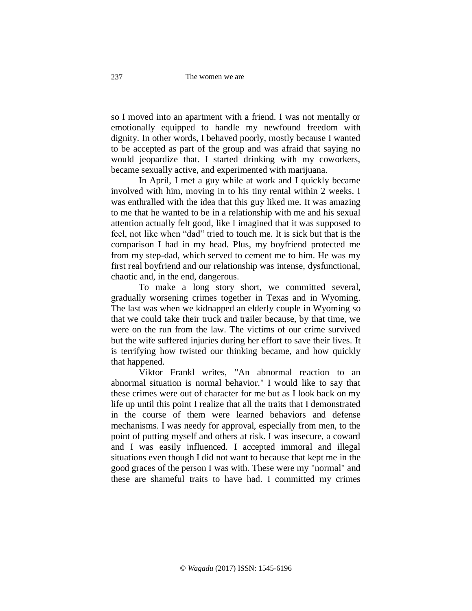so I moved into an apartment with a friend. I was not mentally or emotionally equipped to handle my newfound freedom with dignity. In other words, I behaved poorly, mostly because I wanted to be accepted as part of the group and was afraid that saying no would jeopardize that. I started drinking with my coworkers, became sexually active, and experimented with marijuana.

In April, I met a guy while at work and I quickly became involved with him, moving in to his tiny rental within 2 weeks. I was enthralled with the idea that this guy liked me. It was amazing to me that he wanted to be in a relationship with me and his sexual attention actually felt good, like I imagined that it was supposed to feel, not like when "dad" tried to touch me. It is sick but that is the comparison I had in my head. Plus, my boyfriend protected me from my step-dad, which served to cement me to him. He was my first real boyfriend and our relationship was intense, dysfunctional, chaotic and, in the end, dangerous.

To make a long story short, we committed several, gradually worsening crimes together in Texas and in Wyoming. The last was when we kidnapped an elderly couple in Wyoming so that we could take their truck and trailer because, by that time, we were on the run from the law. The victims of our crime survived but the wife suffered injuries during her effort to save their lives. It is terrifying how twisted our thinking became, and how quickly that happened.

Viktor Frankl writes, "An abnormal reaction to an abnormal situation is normal behavior." I would like to say that these crimes were out of character for me but as I look back on my life up until this point I realize that all the traits that I demonstrated in the course of them were learned behaviors and defense mechanisms. I was needy for approval, especially from men, to the point of putting myself and others at risk. I was insecure, a coward and I was easily influenced. I accepted immoral and illegal situations even though I did not want to because that kept me in the good graces of the person I was with. These were my "normal" and these are shameful traits to have had. I committed my crimes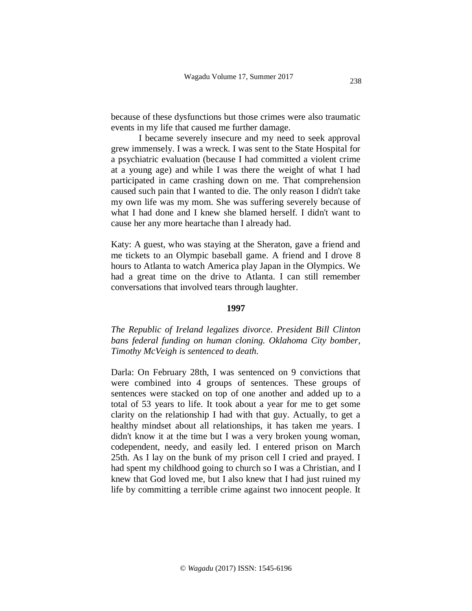because of these dysfunctions but those crimes were also traumatic events in my life that caused me further damage.

I became severely insecure and my need to seek approval grew immensely. I was a wreck. I was sent to the State Hospital for a psychiatric evaluation (because I had committed a violent crime at a young age) and while I was there the weight of what I had participated in came crashing down on me. That comprehension caused such pain that I wanted to die. The only reason I didn't take my own life was my mom. She was suffering severely because of what I had done and I knew she blamed herself. I didn't want to cause her any more heartache than I already had.

Katy: A guest, who was staying at the Sheraton, gave a friend and me tickets to an Olympic baseball game. A friend and I drove 8 hours to Atlanta to watch America play Japan in the Olympics. We had a great time on the drive to Atlanta. I can still remember conversations that involved tears through laughter.

#### **1997**

*The Republic of Ireland legalizes divorce. President Bill Clinton bans federal funding on human cloning. Oklahoma City bomber, Timothy McVeigh is sentenced to death.*

Darla: On February 28th, I was sentenced on 9 convictions that were combined into 4 groups of sentences. These groups of sentences were stacked on top of one another and added up to a total of 53 years to life. It took about a year for me to get some clarity on the relationship I had with that guy. Actually, to get a healthy mindset about all relationships, it has taken me years. I didn't know it at the time but I was a very broken young woman, codependent, needy, and easily led. I entered prison on March 25th. As I lay on the bunk of my prison cell I cried and prayed. I had spent my childhood going to church so I was a Christian, and I knew that God loved me, but I also knew that I had just ruined my life by committing a terrible crime against two innocent people. It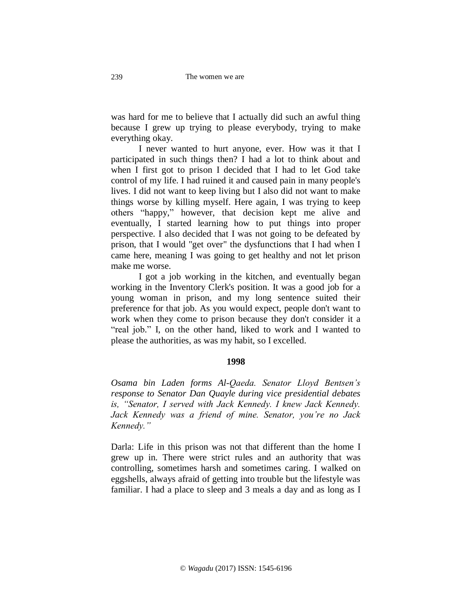was hard for me to believe that I actually did such an awful thing because I grew up trying to please everybody, trying to make everything okay.

I never wanted to hurt anyone, ever. How was it that I participated in such things then? I had a lot to think about and when I first got to prison I decided that I had to let God take control of my life. I had ruined it and caused pain in many people's lives. I did not want to keep living but I also did not want to make things worse by killing myself. Here again, I was trying to keep others "happy," however, that decision kept me alive and eventually, I started learning how to put things into proper perspective. I also decided that I was not going to be defeated by prison, that I would "get over" the dysfunctions that I had when I came here, meaning I was going to get healthy and not let prison make me worse.

I got a job working in the kitchen, and eventually began working in the Inventory Clerk's position. It was a good job for a young woman in prison, and my long sentence suited their preference for that job. As you would expect, people don't want to work when they come to prison because they don't consider it a "real job." I, on the other hand, liked to work and I wanted to please the authorities, as was my habit, so I excelled.

## **1998**

*Osama bin Laden forms Al-Qaeda. Senator Lloyd Bentsen's response to Senator Dan Quayle during vice presidential debates is, "Senator, I served with Jack Kennedy. I knew Jack Kennedy. Jack Kennedy was a friend of mine. Senator, you're no Jack Kennedy."*

Darla: Life in this prison was not that different than the home I grew up in. There were strict rules and an authority that was controlling, sometimes harsh and sometimes caring. I walked on eggshells, always afraid of getting into trouble but the lifestyle was familiar. I had a place to sleep and 3 meals a day and as long as I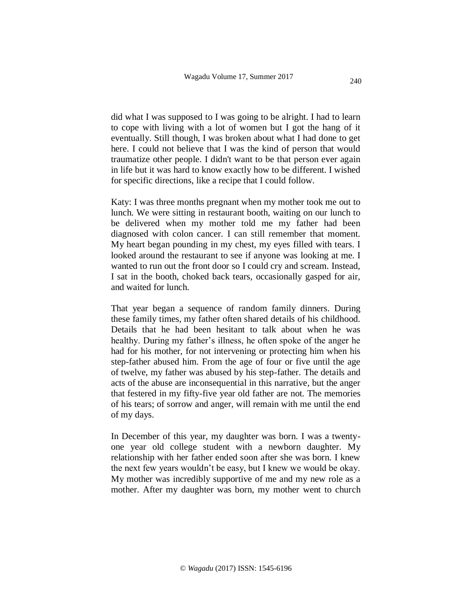did what I was supposed to I was going to be alright. I had to learn to cope with living with a lot of women but I got the hang of it eventually. Still though, I was broken about what I had done to get here. I could not believe that I was the kind of person that would traumatize other people. I didn't want to be that person ever again in life but it was hard to know exactly how to be different. I wished for specific directions, like a recipe that I could follow.

Katy: I was three months pregnant when my mother took me out to lunch. We were sitting in restaurant booth, waiting on our lunch to be delivered when my mother told me my father had been diagnosed with colon cancer. I can still remember that moment. My heart began pounding in my chest, my eyes filled with tears. I looked around the restaurant to see if anyone was looking at me. I wanted to run out the front door so I could cry and scream. Instead, I sat in the booth, choked back tears, occasionally gasped for air, and waited for lunch.

That year began a sequence of random family dinners. During these family times, my father often shared details of his childhood. Details that he had been hesitant to talk about when he was healthy. During my father's illness, he often spoke of the anger he had for his mother, for not intervening or protecting him when his step-father abused him. From the age of four or five until the age of twelve, my father was abused by his step-father. The details and acts of the abuse are inconsequential in this narrative, but the anger that festered in my fifty-five year old father are not. The memories of his tears; of sorrow and anger, will remain with me until the end of my days.

In December of this year, my daughter was born. I was a twentyone year old college student with a newborn daughter. My relationship with her father ended soon after she was born. I knew the next few years wouldn't be easy, but I knew we would be okay. My mother was incredibly supportive of me and my new role as a mother. After my daughter was born, my mother went to church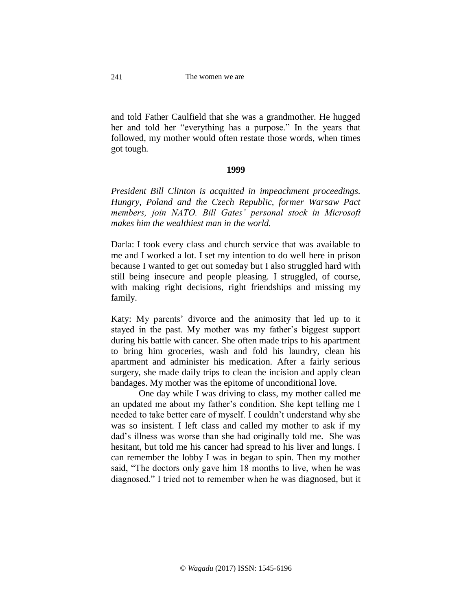and told Father Caulfield that she was a grandmother. He hugged her and told her "everything has a purpose." In the years that followed, my mother would often restate those words, when times got tough.

#### **1999**

*President Bill Clinton is acquitted in impeachment proceedings. Hungry, Poland and the Czech Republic, former Warsaw Pact members, join NATO. Bill Gates' personal stock in Microsoft makes him the wealthiest man in the world.*

Darla: I took every class and church service that was available to me and I worked a lot. I set my intention to do well here in prison because I wanted to get out someday but I also struggled hard with still being insecure and people pleasing. I struggled, of course, with making right decisions, right friendships and missing my family.

Katy: My parents' divorce and the animosity that led up to it stayed in the past. My mother was my father's biggest support during his battle with cancer. She often made trips to his apartment to bring him groceries, wash and fold his laundry, clean his apartment and administer his medication. After a fairly serious surgery, she made daily trips to clean the incision and apply clean bandages. My mother was the epitome of unconditional love.

One day while I was driving to class, my mother called me an updated me about my father's condition. She kept telling me I needed to take better care of myself. I couldn't understand why she was so insistent. I left class and called my mother to ask if my dad's illness was worse than she had originally told me. She was hesitant, but told me his cancer had spread to his liver and lungs. I can remember the lobby I was in began to spin. Then my mother said, "The doctors only gave him 18 months to live, when he was diagnosed." I tried not to remember when he was diagnosed, but it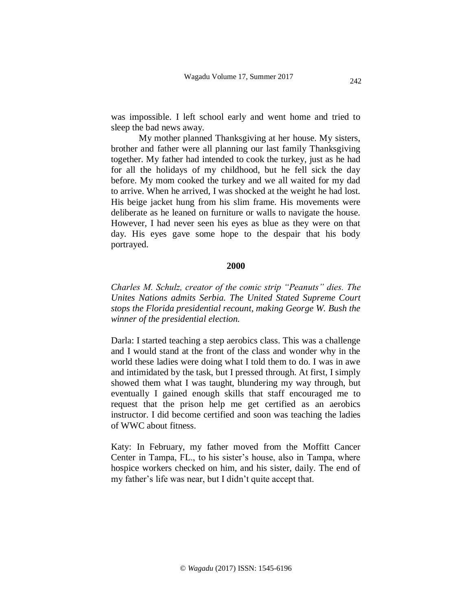was impossible. I left school early and went home and tried to sleep the bad news away.

My mother planned Thanksgiving at her house. My sisters, brother and father were all planning our last family Thanksgiving together. My father had intended to cook the turkey, just as he had for all the holidays of my childhood, but he fell sick the day before. My mom cooked the turkey and we all waited for my dad to arrive. When he arrived, I was shocked at the weight he had lost. His beige jacket hung from his slim frame. His movements were deliberate as he leaned on furniture or walls to navigate the house. However, I had never seen his eyes as blue as they were on that day. His eyes gave some hope to the despair that his body portrayed.

## **2000**

*Charles M. Schulz, creator of the comic strip "Peanuts" dies. The Unites Nations admits Serbia. The United Stated Supreme Court stops the Florida presidential recount, making George W. Bush the winner of the presidential election.*

Darla: I started teaching a step aerobics class. This was a challenge and I would stand at the front of the class and wonder why in the world these ladies were doing what I told them to do. I was in awe and intimidated by the task, but I pressed through. At first, I simply showed them what I was taught, blundering my way through, but eventually I gained enough skills that staff encouraged me to request that the prison help me get certified as an aerobics instructor. I did become certified and soon was teaching the ladies of WWC about fitness.

Katy: In February, my father moved from the Moffitt Cancer Center in Tampa, FL., to his sister's house, also in Tampa, where hospice workers checked on him, and his sister, daily. The end of my father's life was near, but I didn't quite accept that.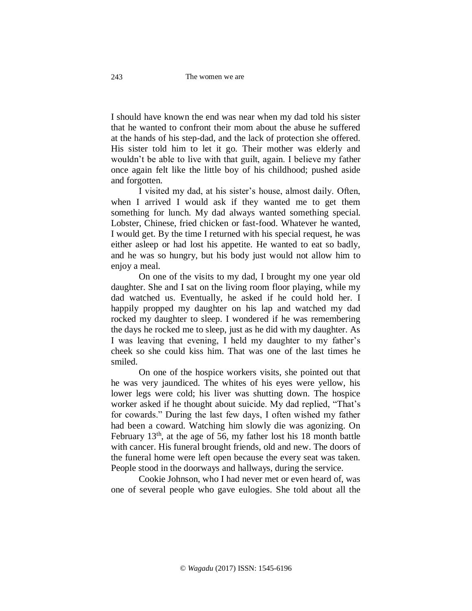I should have known the end was near when my dad told his sister that he wanted to confront their mom about the abuse he suffered at the hands of his step-dad, and the lack of protection she offered. His sister told him to let it go. Their mother was elderly and wouldn't be able to live with that guilt, again. I believe my father once again felt like the little boy of his childhood; pushed aside and forgotten.

I visited my dad, at his sister's house, almost daily. Often, when I arrived I would ask if they wanted me to get them something for lunch. My dad always wanted something special. Lobster, Chinese, fried chicken or fast-food. Whatever he wanted, I would get. By the time I returned with his special request, he was either asleep or had lost his appetite. He wanted to eat so badly, and he was so hungry, but his body just would not allow him to enjoy a meal.

On one of the visits to my dad, I brought my one year old daughter. She and I sat on the living room floor playing, while my dad watched us. Eventually, he asked if he could hold her. I happily propped my daughter on his lap and watched my dad rocked my daughter to sleep. I wondered if he was remembering the days he rocked me to sleep, just as he did with my daughter. As I was leaving that evening, I held my daughter to my father's cheek so she could kiss him. That was one of the last times he smiled.

On one of the hospice workers visits, she pointed out that he was very jaundiced. The whites of his eyes were yellow, his lower legs were cold; his liver was shutting down. The hospice worker asked if he thought about suicide. My dad replied, "That's for cowards." During the last few days, I often wished my father had been a coward. Watching him slowly die was agonizing. On February  $13<sup>th</sup>$ , at the age of 56, my father lost his 18 month battle with cancer. His funeral brought friends, old and new. The doors of the funeral home were left open because the every seat was taken. People stood in the doorways and hallways, during the service.

Cookie Johnson, who I had never met or even heard of, was one of several people who gave eulogies. She told about all the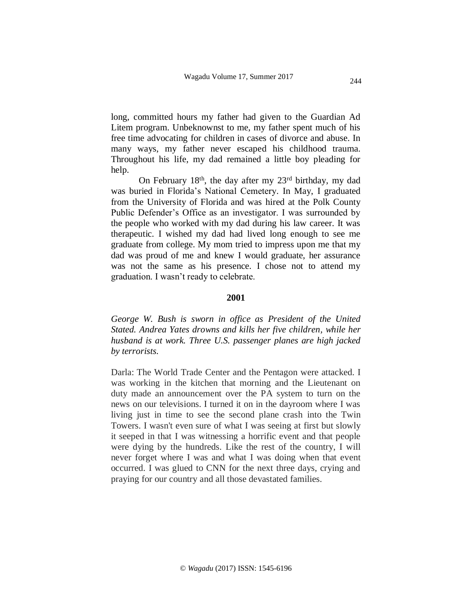long, committed hours my father had given to the Guardian Ad Litem program. Unbeknownst to me, my father spent much of his free time advocating for children in cases of divorce and abuse. In many ways, my father never escaped his childhood trauma. Throughout his life, my dad remained a little boy pleading for help.

On February 18<sup>th</sup>, the day after my  $23<sup>rd</sup>$  birthday, my dad was buried in Florida's National Cemetery. In May, I graduated from the University of Florida and was hired at the Polk County Public Defender's Office as an investigator. I was surrounded by the people who worked with my dad during his law career. It was therapeutic. I wished my dad had lived long enough to see me graduate from college. My mom tried to impress upon me that my dad was proud of me and knew I would graduate, her assurance was not the same as his presence. I chose not to attend my graduation. I wasn't ready to celebrate.

## **2001**

*George W. Bush is sworn in office as President of the United Stated. Andrea Yates drowns and kills her five children, while her husband is at work. Three U.S. passenger planes are high jacked by terrorists.*

Darla: The World Trade Center and the Pentagon were attacked. I was working in the kitchen that morning and the Lieutenant on duty made an announcement over the PA system to turn on the news on our televisions. I turned it on in the dayroom where I was living just in time to see the second plane crash into the Twin Towers. I wasn't even sure of what I was seeing at first but slowly it seeped in that I was witnessing a horrific event and that people were dying by the hundreds. Like the rest of the country, I will never forget where I was and what I was doing when that event occurred. I was glued to CNN for the next three days, crying and praying for our country and all those devastated families.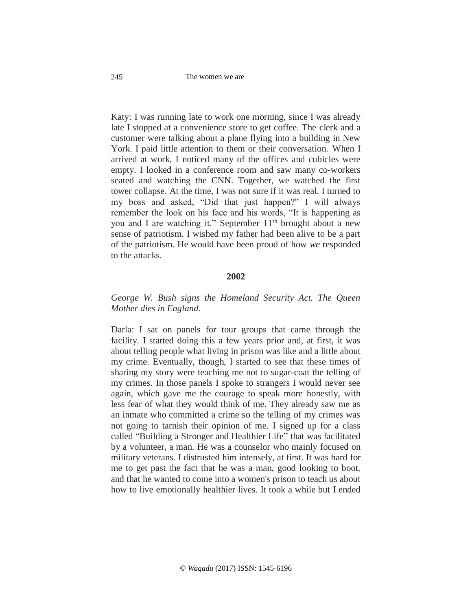The women we are

Katy: I was running late to work one morning, since I was already late I stopped at a convenience store to get coffee. The clerk and a customer were talking about a plane flying into a building in New York. I paid little attention to them or their conversation. When I arrived at work, I noticed many of the offices and cubicles were empty. I looked in a conference room and saw many co-workers seated and watching the CNN. Together, we watched the first tower collapse. At the time, I was not sure if it was real. I turned to my boss and asked, "Did that just happen?" I will always remember the look on his face and his words, "It is happening as you and I are watching it." September 11<sup>th</sup> brought about a new sense of patriotism. I wished my father had been alive to be a part of the patriotism. He would have been proud of how *we* responded to the attacks.

## **2002**

# *George W. Bush signs the Homeland Security Act. The Queen Mother dies in England.*

Darla: I sat on panels for tour groups that came through the facility. I started doing this a few years prior and, at first, it was about telling people what living in prison was like and a little about my crime. Eventually, though, I started to see that these times of sharing my story were teaching me not to sugar-coat the telling of my crimes. In those panels I spoke to strangers I would never see again, which gave me the courage to speak more honestly, with less fear of what they would think of me. They already saw me as an inmate who committed a crime so the telling of my crimes was not going to tarnish their opinion of me. I signed up for a class called "Building a Stronger and Healthier Life" that was facilitated by a volunteer, a man. He was a counselor who mainly focused on military veterans. I distrusted him intensely, at first. It was hard for me to get past the fact that he was a man, good looking to boot, and that he wanted to come into a women's prison to teach us about how to live emotionally healthier lives. It took a while but I ended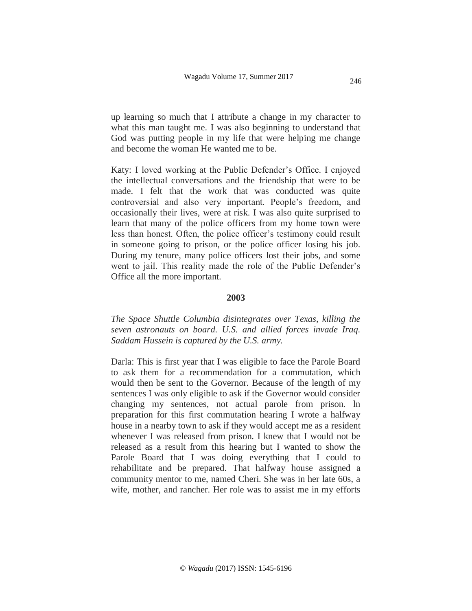up learning so much that I attribute a change in my character to what this man taught me. I was also beginning to understand that God was putting people in my life that were helping me change and become the woman He wanted me to be.

Katy: I loved working at the Public Defender's Office. I enjoyed the intellectual conversations and the friendship that were to be made. I felt that the work that was conducted was quite controversial and also very important. People's freedom, and occasionally their lives, were at risk. I was also quite surprised to learn that many of the police officers from my home town were less than honest. Often, the police officer's testimony could result in someone going to prison, or the police officer losing his job. During my tenure, many police officers lost their jobs, and some went to jail. This reality made the role of the Public Defender's Office all the more important.

### **2003**

*The Space Shuttle Columbia disintegrates over Texas, killing the seven astronauts on board. U.S. and allied forces invade Iraq. Saddam Hussein is captured by the U.S. army.*

Darla: This is first year that I was eligible to face the Parole Board to ask them for a recommendation for a commutation, which would then be sent to the Governor. Because of the length of my sentences I was only eligible to ask if the Governor would consider changing my sentences, not actual parole from prison. ln preparation for this first commutation hearing I wrote a halfway house in a nearby town to ask if they would accept me as a resident whenever I was released from prison. I knew that I would not be released as a result from this hearing but I wanted to show the Parole Board that I was doing everything that I could to rehabilitate and be prepared. That halfway house assigned a community mentor to me, named Cheri. She was in her late 60s, a wife, mother, and rancher. Her role was to assist me in my efforts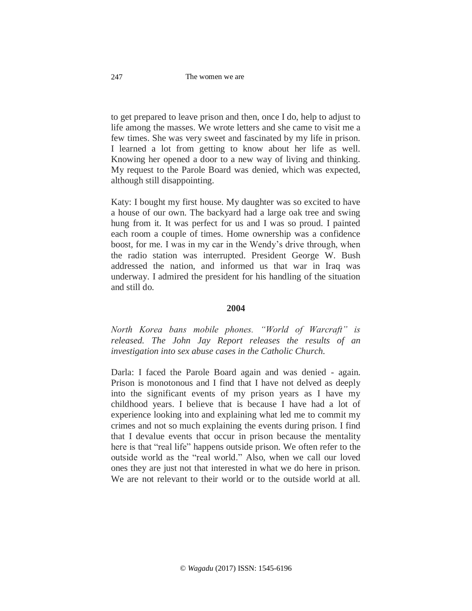to get prepared to leave prison and then, once I do, help to adjust to life among the masses. We wrote letters and she came to visit me a few times. She was very sweet and fascinated by my life in prison. I learned a lot from getting to know about her life as well. Knowing her opened a door to a new way of living and thinking. My request to the Parole Board was denied, which was expected, although still disappointing.

Katy: I bought my first house. My daughter was so excited to have a house of our own. The backyard had a large oak tree and swing hung from it. It was perfect for us and I was so proud. I painted each room a couple of times. Home ownership was a confidence boost, for me. I was in my car in the Wendy's drive through, when the radio station was interrupted. President George W. Bush addressed the nation, and informed us that war in Iraq was underway. I admired the president for his handling of the situation and still do.

### **2004**

*North Korea bans mobile phones. "World of Warcraft" is released. The John Jay Report releases the results of an investigation into sex abuse cases in the Catholic Church.*

Darla: I faced the Parole Board again and was denied - again. Prison is monotonous and I find that I have not delved as deeply into the significant events of my prison years as I have my childhood years. I believe that is because I have had a lot of experience looking into and explaining what led me to commit my crimes and not so much explaining the events during prison. I find that I devalue events that occur in prison because the mentality here is that "real life" happens outside prison. We often refer to the outside world as the "real world." Also, when we call our loved ones they are just not that interested in what we do here in prison. We are not relevant to their world or to the outside world at all.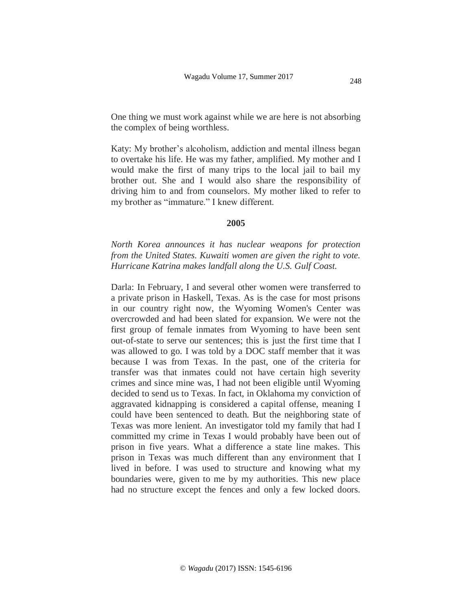One thing we must work against while we are here is not absorbing the complex of being worthless.

Katy: My brother's alcoholism, addiction and mental illness began to overtake his life. He was my father, amplified. My mother and I would make the first of many trips to the local jail to bail my brother out. She and I would also share the responsibility of driving him to and from counselors. My mother liked to refer to my brother as "immature." I knew different.

#### **2005**

*North Korea announces it has nuclear weapons for protection from the United States. Kuwaiti women are given the right to vote. Hurricane Katrina makes landfall along the U.S. Gulf Coast.*

Darla: In February, I and several other women were transferred to a private prison in Haskell, Texas. As is the case for most prisons in our country right now, the Wyoming Women's Center was overcrowded and had been slated for expansion. We were not the first group of female inmates from Wyoming to have been sent out-of-state to serve our sentences; this is just the first time that I was allowed to go. I was told by a DOC staff member that it was because I was from Texas. In the past, one of the criteria for transfer was that inmates could not have certain high severity crimes and since mine was, I had not been eligible until Wyoming decided to send us to Texas. In fact, in Oklahoma my conviction of aggravated kidnapping is considered a capital offense, meaning I could have been sentenced to death. But the neighboring state of Texas was more lenient. An investigator told my family that had I committed my crime in Texas I would probably have been out of prison in five years. What a difference a state line makes. This prison in Texas was much different than any environment that I lived in before. I was used to structure and knowing what my boundaries were, given to me by my authorities. This new place had no structure except the fences and only a few locked doors.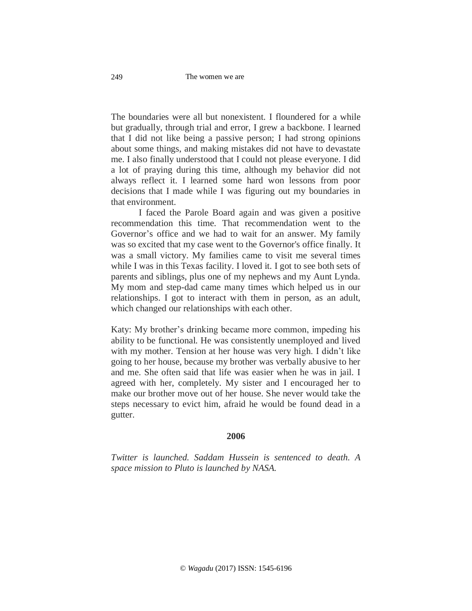The boundaries were all but nonexistent. I floundered for a while but gradually, through trial and error, I grew a backbone. I learned that I did not like being a passive person; I had strong opinions about some things, and making mistakes did not have to devastate me. I also finally understood that I could not please everyone. I did a lot of praying during this time, although my behavior did not always reflect it. I learned some hard won lessons from poor decisions that I made while I was figuring out my boundaries in that environment.

I faced the Parole Board again and was given a positive recommendation this time. That recommendation went to the Governor's office and we had to wait for an answer. My family was so excited that my case went to the Governor's office finally. It was a small victory. My families came to visit me several times while I was in this Texas facility. I loved it. I got to see both sets of parents and siblings, plus one of my nephews and my Aunt Lynda. My mom and step-dad came many times which helped us in our relationships. I got to interact with them in person, as an adult, which changed our relationships with each other.

Katy: My brother's drinking became more common, impeding his ability to be functional. He was consistently unemployed and lived with my mother. Tension at her house was very high. I didn't like going to her house, because my brother was verbally abusive to her and me. She often said that life was easier when he was in jail. I agreed with her, completely. My sister and I encouraged her to make our brother move out of her house. She never would take the steps necessary to evict him, afraid he would be found dead in a gutter.

### **2006**

*Twitter is launched. Saddam Hussein is sentenced to death. A space mission to Pluto is launched by NASA.*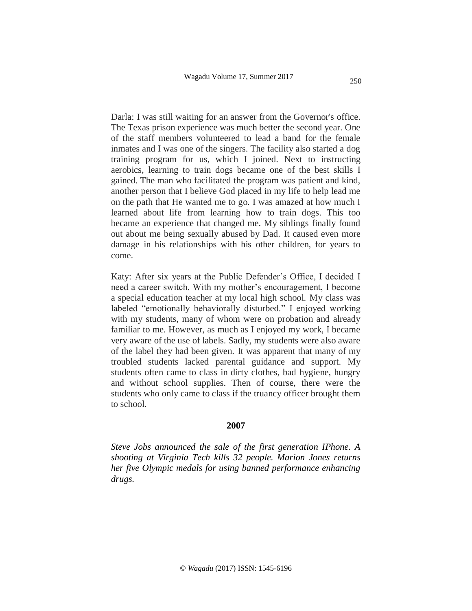Darla: I was still waiting for an answer from the Governor's office. The Texas prison experience was much better the second year. One of the staff members volunteered to lead a band for the female inmates and I was one of the singers. The facility also started a dog training program for us, which I joined. Next to instructing aerobics, learning to train dogs became one of the best skills I gained. The man who facilitated the program was patient and kind, another person that I believe God placed in my life to help lead me on the path that He wanted me to go. I was amazed at how much I learned about life from learning how to train dogs. This too became an experience that changed me. My siblings finally found out about me being sexually abused by Dad. It caused even more damage in his relationships with his other children, for years to come.

Katy: After six years at the Public Defender's Office, I decided I need a career switch. With my mother's encouragement, I become a special education teacher at my local high school. My class was labeled "emotionally behaviorally disturbed." I enjoyed working with my students, many of whom were on probation and already familiar to me. However, as much as I enjoyed my work, I became very aware of the use of labels. Sadly, my students were also aware of the label they had been given. It was apparent that many of my troubled students lacked parental guidance and support. My students often came to class in dirty clothes, bad hygiene, hungry and without school supplies. Then of course, there were the students who only came to class if the truancy officer brought them to school.

### **2007**

*Steve Jobs announced the sale of the first generation IPhone. A shooting at Virginia Tech kills 32 people. Marion Jones returns her five Olympic medals for using banned performance enhancing drugs.*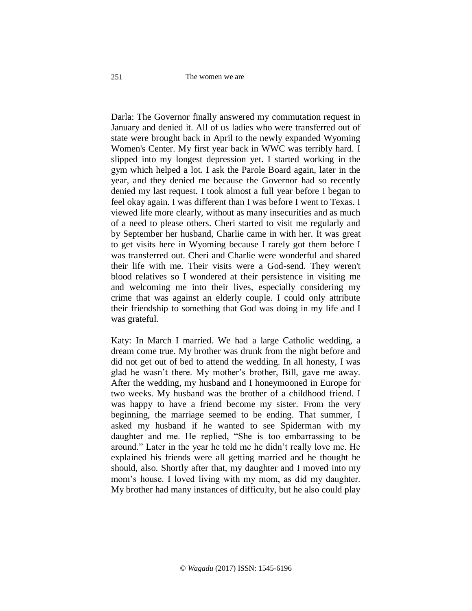#### The women we are

Darla: The Governor finally answered my commutation request in January and denied it. All of us ladies who were transferred out of state were brought back in April to the newly expanded Wyoming Women's Center. My first year back in WWC was terribly hard. I slipped into my longest depression yet. I started working in the gym which helped a lot. I ask the Parole Board again, later in the year, and they denied me because the Governor had so recently denied my last request. I took almost a full year before I began to feel okay again. I was different than I was before I went to Texas. I viewed life more clearly, without as many insecurities and as much of a need to please others. Cheri started to visit me regularly and by September her husband, Charlie came in with her. It was great to get visits here in Wyoming because I rarely got them before I was transferred out. Cheri and Charlie were wonderful and shared their life with me. Their visits were a God-send. They weren't blood relatives so I wondered at their persistence in visiting me and welcoming me into their lives, especially considering my crime that was against an elderly couple. I could only attribute their friendship to something that God was doing in my life and I was grateful.

Katy: In March I married. We had a large Catholic wedding, a dream come true. My brother was drunk from the night before and did not get out of bed to attend the wedding. In all honesty, I was glad he wasn't there. My mother's brother, Bill, gave me away. After the wedding, my husband and I honeymooned in Europe for two weeks. My husband was the brother of a childhood friend. I was happy to have a friend become my sister. From the very beginning, the marriage seemed to be ending. That summer, I asked my husband if he wanted to see Spiderman with my daughter and me. He replied, "She is too embarrassing to be around." Later in the year he told me he didn't really love me. He explained his friends were all getting married and he thought he should, also. Shortly after that, my daughter and I moved into my mom's house. I loved living with my mom, as did my daughter. My brother had many instances of difficulty, but he also could play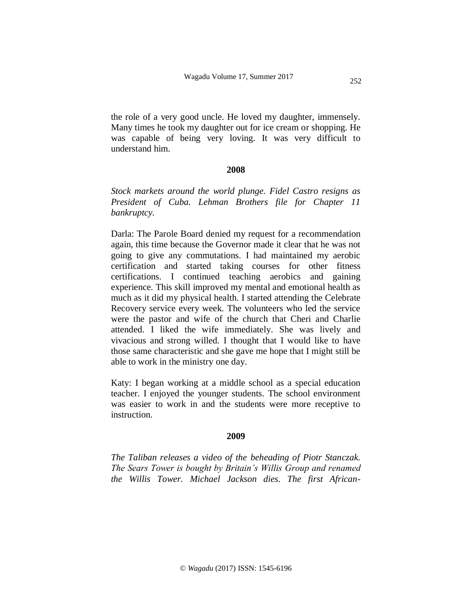the role of a very good uncle. He loved my daughter, immensely. Many times he took my daughter out for ice cream or shopping. He was capable of being very loving. It was very difficult to understand him.

# **2008**

*Stock markets around the world plunge. Fidel Castro resigns as President of Cuba. Lehman Brothers file for Chapter 11 bankruptcy.* 

Darla: The Parole Board denied my request for a recommendation again, this time because the Governor made it clear that he was not going to give any commutations. I had maintained my aerobic certification and started taking courses for other fitness certifications. I continued teaching aerobics and gaining experience. This skill improved my mental and emotional health as much as it did my physical health. I started attending the Celebrate Recovery service every week. The volunteers who led the service were the pastor and wife of the church that Cheri and Charlie attended. I liked the wife immediately. She was lively and vivacious and strong willed. I thought that I would like to have those same characteristic and she gave me hope that I might still be able to work in the ministry one day.

Katy: I began working at a middle school as a special education teacher. I enjoyed the younger students. The school environment was easier to work in and the students were more receptive to instruction.

#### **2009**

*The Taliban releases a video of the beheading of Piotr Stanczak. The Sears Tower is bought by Britain's Willis Group and renamed the Willis Tower. Michael Jackson dies. The first African-*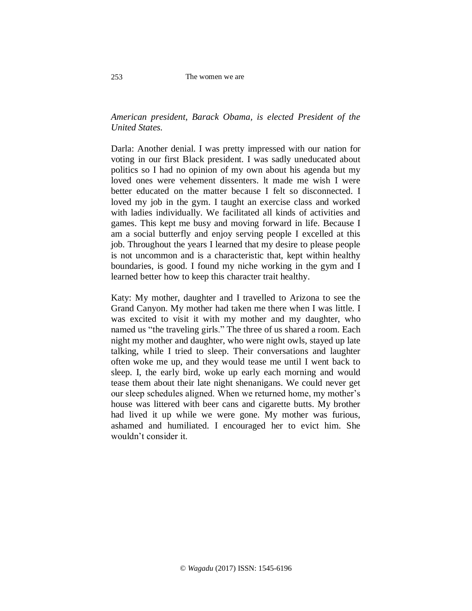# *American president, Barack Obama, is elected President of the United States.*

Darla: Another denial. I was pretty impressed with our nation for voting in our first Black president. I was sadly uneducated about politics so I had no opinion of my own about his agenda but my loved ones were vehement dissenters. lt made me wish I were better educated on the matter because I felt so disconnected. I loved my job in the gym. I taught an exercise class and worked with ladies individually. We facilitated all kinds of activities and games. This kept me busy and moving forward in life. Because I am a social butterfly and enjoy serving people I excelled at this job. Throughout the years I learned that my desire to please people is not uncommon and is a characteristic that, kept within healthy boundaries, is good. I found my niche working in the gym and I learned better how to keep this character trait healthy.

Katy: My mother, daughter and I travelled to Arizona to see the Grand Canyon. My mother had taken me there when I was little. I was excited to visit it with my mother and my daughter, who named us "the traveling girls." The three of us shared a room. Each night my mother and daughter, who were night owls, stayed up late talking, while I tried to sleep. Their conversations and laughter often woke me up, and they would tease me until I went back to sleep. I, the early bird, woke up early each morning and would tease them about their late night shenanigans. We could never get our sleep schedules aligned. When we returned home, my mother's house was littered with beer cans and cigarette butts. My brother had lived it up while we were gone. My mother was furious, ashamed and humiliated. I encouraged her to evict him. She wouldn't consider it.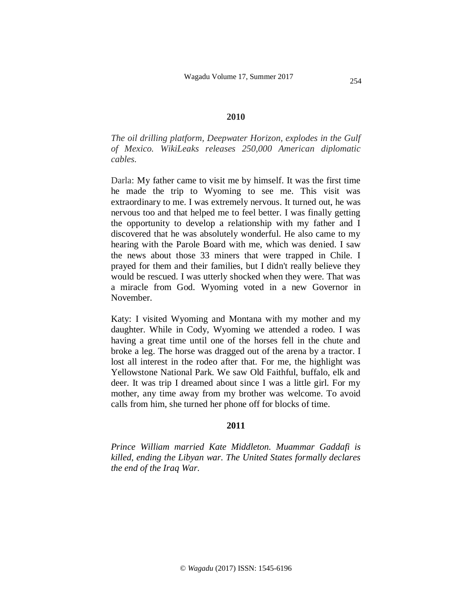### **2010**

*The oil drilling platform, Deepwater Horizon, explodes in the Gulf of Mexico. WikiLeaks releases 250,000 American diplomatic cables.*

Darla: My father came to visit me by himself. It was the first time he made the trip to Wyoming to see me. This visit was extraordinary to me. I was extremely nervous. It turned out, he was nervous too and that helped me to feel better. I was finally getting the opportunity to develop a relationship with my father and I discovered that he was absolutely wonderful. He also came to my hearing with the Parole Board with me, which was denied. I saw the news about those 33 miners that were trapped in Chile. I prayed for them and their families, but I didn't really believe they would be rescued. I was utterly shocked when they were. That was a miracle from God. Wyoming voted in a new Governor in November.

Katy: I visited Wyoming and Montana with my mother and my daughter. While in Cody, Wyoming we attended a rodeo. I was having a great time until one of the horses fell in the chute and broke a leg. The horse was dragged out of the arena by a tractor. I lost all interest in the rodeo after that. For me, the highlight was Yellowstone National Park. We saw Old Faithful, buffalo, elk and deer. It was trip I dreamed about since I was a little girl. For my mother, any time away from my brother was welcome. To avoid calls from him, she turned her phone off for blocks of time.

### **2011**

*Prince William married Kate Middleton. Muammar Gaddafi is killed, ending the Libyan war. The United States formally declares the end of the Iraq War.*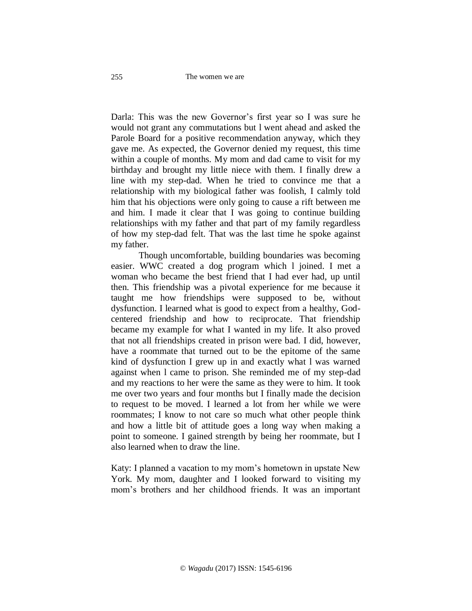Darla: This was the new Governor's first year so I was sure he would not grant any commutations but l went ahead and asked the Parole Board for a positive recommendation anyway, which they gave me. As expected, the Governor denied my request, this time within a couple of months. My mom and dad came to visit for my birthday and brought my little niece with them. I finally drew a line with my step-dad. When he tried to convince me that a relationship with my biological father was foolish, I calmly told him that his objections were only going to cause a rift between me and him. I made it clear that I was going to continue building relationships with my father and that part of my family regardless of how my step-dad felt. That was the last time he spoke against my father.

Though uncomfortable, building boundaries was becoming easier. WWC created a dog program which l joined. I met a woman who became the best friend that I had ever had, up until then. This friendship was a pivotal experience for me because it taught me how friendships were supposed to be, without dysfunction. I learned what is good to expect from a healthy, Godcentered friendship and how to reciprocate. That friendship became my example for what I wanted in my life. It also proved that not all friendships created in prison were bad. I did, however, have a roommate that turned out to be the epitome of the same kind of dysfunction I grew up in and exactly what l was warned against when l came to prison. She reminded me of my step-dad and my reactions to her were the same as they were to him. It took me over two years and four months but I finally made the decision to request to be moved. I learned a lot from her while we were roommates; I know to not care so much what other people think and how a little bit of attitude goes a long way when making a point to someone. I gained strength by being her roommate, but I also learned when to draw the line.

Katy: I planned a vacation to my mom's hometown in upstate New York. My mom, daughter and I looked forward to visiting my mom's brothers and her childhood friends. It was an important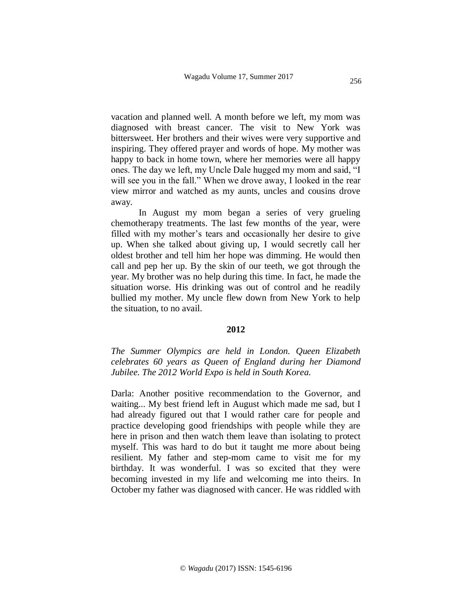vacation and planned well. A month before we left, my mom was diagnosed with breast cancer. The visit to New York was bittersweet. Her brothers and their wives were very supportive and inspiring. They offered prayer and words of hope. My mother was happy to back in home town, where her memories were all happy ones. The day we left, my Uncle Dale hugged my mom and said, "I will see you in the fall." When we drove away, I looked in the rear view mirror and watched as my aunts, uncles and cousins drove away.

In August my mom began a series of very grueling chemotherapy treatments. The last few months of the year, were filled with my mother's tears and occasionally her desire to give up. When she talked about giving up, I would secretly call her oldest brother and tell him her hope was dimming. He would then call and pep her up. By the skin of our teeth, we got through the year. My brother was no help during this time. In fact, he made the situation worse. His drinking was out of control and he readily bullied my mother. My uncle flew down from New York to help the situation, to no avail.

### **2012**

*The Summer Olympics are held in London. Queen Elizabeth celebrates 60 years as Queen of England during her Diamond Jubilee. The 2012 World Expo is held in South Korea.*

Darla: Another positive recommendation to the Governor, and waiting... My best friend left in August which made me sad, but I had already figured out that I would rather care for people and practice developing good friendships with people while they are here in prison and then watch them leave than isolating to protect myself. This was hard to do but it taught me more about being resilient. My father and step-mom came to visit me for my birthday. It was wonderful. I was so excited that they were becoming invested in my life and welcoming me into theirs. In October my father was diagnosed with cancer. He was riddled with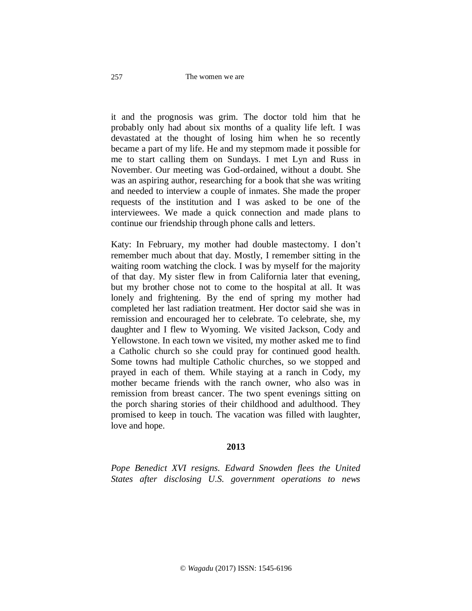it and the prognosis was grim. The doctor told him that he probably only had about six months of a quality life left. I was devastated at the thought of losing him when he so recently became a part of my life. He and my stepmom made it possible for me to start calling them on Sundays. I met Lyn and Russ in November. Our meeting was God-ordained, without a doubt. She was an aspiring author, researching for a book that she was writing and needed to interview a couple of inmates. She made the proper requests of the institution and I was asked to be one of the interviewees. We made a quick connection and made plans to continue our friendship through phone calls and letters.

Katy: In February, my mother had double mastectomy. I don't remember much about that day. Mostly, I remember sitting in the waiting room watching the clock. I was by myself for the majority of that day. My sister flew in from California later that evening, but my brother chose not to come to the hospital at all. It was lonely and frightening. By the end of spring my mother had completed her last radiation treatment. Her doctor said she was in remission and encouraged her to celebrate. To celebrate, she, my daughter and I flew to Wyoming. We visited Jackson, Cody and Yellowstone. In each town we visited, my mother asked me to find a Catholic church so she could pray for continued good health. Some towns had multiple Catholic churches, so we stopped and prayed in each of them. While staying at a ranch in Cody, my mother became friends with the ranch owner, who also was in remission from breast cancer. The two spent evenings sitting on the porch sharing stories of their childhood and adulthood. They promised to keep in touch. The vacation was filled with laughter, love and hope.

# **2013**

*Pope Benedict XVI resigns. Edward Snowden flees the United States after disclosing U.S. government operations to news*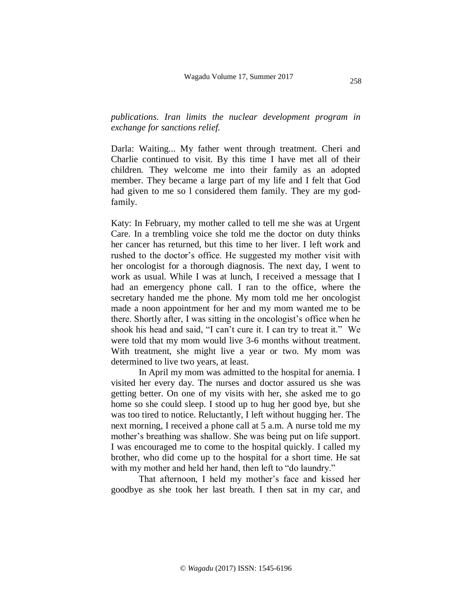*publications. Iran limits the nuclear development program in exchange for sanctions relief.* 

Darla: Waiting... My father went through treatment. Cheri and Charlie continued to visit. By this time I have met all of their children. They welcome me into their family as an adopted member. They became a large part of my life and I felt that God had given to me so l considered them family. They are my godfamily.

Katy: In February, my mother called to tell me she was at Urgent Care. In a trembling voice she told me the doctor on duty thinks her cancer has returned, but this time to her liver. I left work and rushed to the doctor's office. He suggested my mother visit with her oncologist for a thorough diagnosis. The next day, I went to work as usual. While I was at lunch, I received a message that I had an emergency phone call. I ran to the office, where the secretary handed me the phone. My mom told me her oncologist made a noon appointment for her and my mom wanted me to be there. Shortly after, I was sitting in the oncologist's office when he shook his head and said, "I can't cure it. I can try to treat it." We were told that my mom would live 3-6 months without treatment. With treatment, she might live a year or two. My mom was determined to live two years, at least.

In April my mom was admitted to the hospital for anemia. I visited her every day. The nurses and doctor assured us she was getting better. On one of my visits with her, she asked me to go home so she could sleep. I stood up to hug her good bye, but she was too tired to notice. Reluctantly, I left without hugging her. The next morning, I received a phone call at 5 a.m. A nurse told me my mother's breathing was shallow. She was being put on life support. I was encouraged me to come to the hospital quickly. I called my brother, who did come up to the hospital for a short time. He sat with my mother and held her hand, then left to "do laundry."

That afternoon, I held my mother's face and kissed her goodbye as she took her last breath. I then sat in my car, and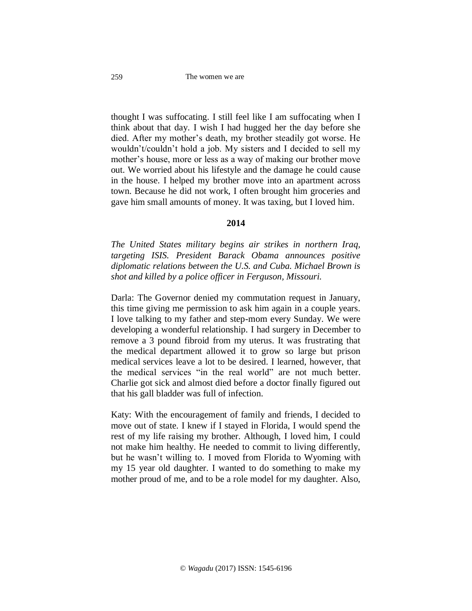thought I was suffocating. I still feel like I am suffocating when I think about that day. I wish I had hugged her the day before she died. After my mother's death, my brother steadily got worse. He wouldn't/couldn't hold a job. My sisters and I decided to sell my mother's house, more or less as a way of making our brother move out. We worried about his lifestyle and the damage he could cause in the house. I helped my brother move into an apartment across town. Because he did not work, I often brought him groceries and gave him small amounts of money. It was taxing, but I loved him.

### **2014**

*The United States military begins air strikes in northern Iraq, targeting ISIS. President Barack Obama announces positive diplomatic relations between the U.S. and Cuba. Michael Brown is shot and killed by a police officer in Ferguson, Missouri.*

Darla: The Governor denied my commutation request in January, this time giving me permission to ask him again in a couple years. I love talking to my father and step-mom every Sunday. We were developing a wonderful relationship. I had surgery in December to remove a 3 pound fibroid from my uterus. It was frustrating that the medical department allowed it to grow so large but prison medical services leave a lot to be desired. I learned, however, that the medical services "in the real world" are not much better. Charlie got sick and almost died before a doctor finally figured out that his gall bladder was full of infection.

Katy: With the encouragement of family and friends, I decided to move out of state. I knew if I stayed in Florida, I would spend the rest of my life raising my brother. Although, I loved him, I could not make him healthy. He needed to commit to living differently, but he wasn't willing to. I moved from Florida to Wyoming with my 15 year old daughter. I wanted to do something to make my mother proud of me, and to be a role model for my daughter. Also,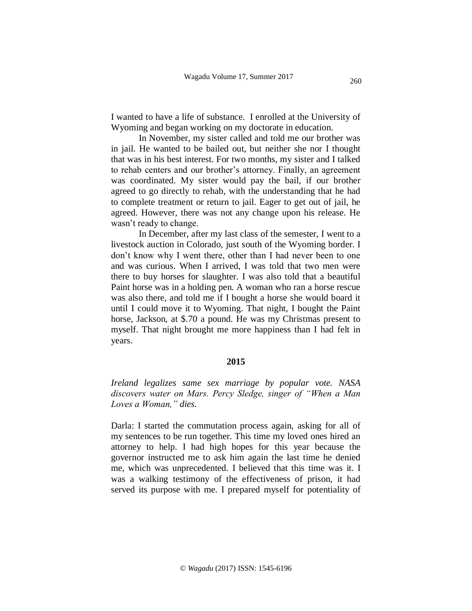I wanted to have a life of substance. I enrolled at the University of Wyoming and began working on my doctorate in education.

In November, my sister called and told me our brother was in jail. He wanted to be bailed out, but neither she nor I thought that was in his best interest. For two months, my sister and I talked to rehab centers and our brother's attorney. Finally, an agreement was coordinated. My sister would pay the bail, if our brother agreed to go directly to rehab, with the understanding that he had to complete treatment or return to jail. Eager to get out of jail, he agreed. However, there was not any change upon his release. He wasn't ready to change.

In December, after my last class of the semester, I went to a livestock auction in Colorado, just south of the Wyoming border. I don't know why I went there, other than I had never been to one and was curious. When I arrived, I was told that two men were there to buy horses for slaughter. I was also told that a beautiful Paint horse was in a holding pen. A woman who ran a horse rescue was also there, and told me if I bought a horse she would board it until I could move it to Wyoming. That night, I bought the Paint horse, Jackson, at \$.70 a pound. He was my Christmas present to myself. That night brought me more happiness than I had felt in years.

#### **2015**

*Ireland legalizes same sex marriage by popular vote. NASA discovers water on Mars. Percy Sledge, singer of "When a Man Loves a Woman," dies.*

Darla: I started the commutation process again, asking for all of my sentences to be run together. This time my loved ones hired an attorney to help. I had high hopes for this year because the governor instructed me to ask him again the last time he denied me, which was unprecedented. I believed that this time was it. I was a walking testimony of the effectiveness of prison, it had served its purpose with me. I prepared myself for potentiality of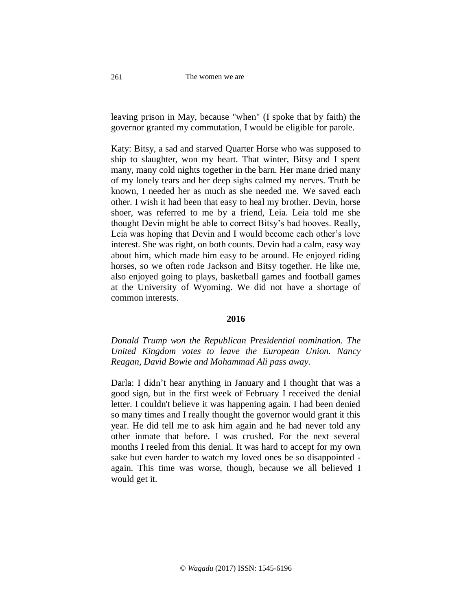The women we are

leaving prison in May, because "when" (I spoke that by faith) the governor granted my commutation, I would be eligible for parole.

Katy: Bitsy, a sad and starved Quarter Horse who was supposed to ship to slaughter, won my heart. That winter, Bitsy and I spent many, many cold nights together in the barn. Her mane dried many of my lonely tears and her deep sighs calmed my nerves. Truth be known, I needed her as much as she needed me. We saved each other. I wish it had been that easy to heal my brother. Devin, horse shoer, was referred to me by a friend, Leia. Leia told me she thought Devin might be able to correct Bitsy's bad hooves. Really, Leia was hoping that Devin and I would become each other's love interest. She was right, on both counts. Devin had a calm, easy way about him, which made him easy to be around. He enjoyed riding horses, so we often rode Jackson and Bitsy together. He like me, also enjoyed going to plays, basketball games and football games at the University of Wyoming. We did not have a shortage of common interests.

### **2016**

*Donald Trump won the Republican Presidential nomination. The United Kingdom votes to leave the European Union. Nancy Reagan, David Bowie and Mohammad Ali pass away.* 

Darla: I didn't hear anything in January and I thought that was a good sign, but in the first week of February I received the denial letter. I couldn't believe it was happening again. I had been denied so many times and I really thought the governor would grant it this year. He did tell me to ask him again and he had never told any other inmate that before. I was crushed. For the next several months I reeled from this denial. It was hard to accept for my own sake but even harder to watch my loved ones be so disappointed again. This time was worse, though, because we all believed I would get it.

261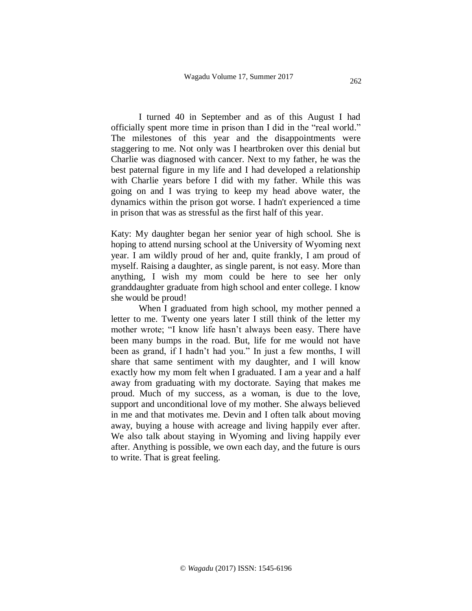262

I turned 40 in September and as of this August I had officially spent more time in prison than I did in the "real world." The milestones of this year and the disappointments were staggering to me. Not only was I heartbroken over this denial but Charlie was diagnosed with cancer. Next to my father, he was the best paternal figure in my life and I had developed a relationship with Charlie years before I did with my father. While this was going on and I was trying to keep my head above water, the dynamics within the prison got worse. I hadn't experienced a time in prison that was as stressful as the first half of this year.

Katy: My daughter began her senior year of high school. She is hoping to attend nursing school at the University of Wyoming next year. I am wildly proud of her and, quite frankly, I am proud of myself. Raising a daughter, as single parent, is not easy. More than anything, I wish my mom could be here to see her only granddaughter graduate from high school and enter college. I know she would be proud!

When I graduated from high school, my mother penned a letter to me. Twenty one years later I still think of the letter my mother wrote; "I know life hasn't always been easy. There have been many bumps in the road. But, life for me would not have been as grand, if I hadn't had you." In just a few months, I will share that same sentiment with my daughter, and I will know exactly how my mom felt when I graduated. I am a year and a half away from graduating with my doctorate. Saying that makes me proud. Much of my success, as a woman, is due to the love, support and unconditional love of my mother. She always believed in me and that motivates me. Devin and I often talk about moving away, buying a house with acreage and living happily ever after. We also talk about staying in Wyoming and living happily ever after. Anything is possible, we own each day, and the future is ours to write. That is great feeling.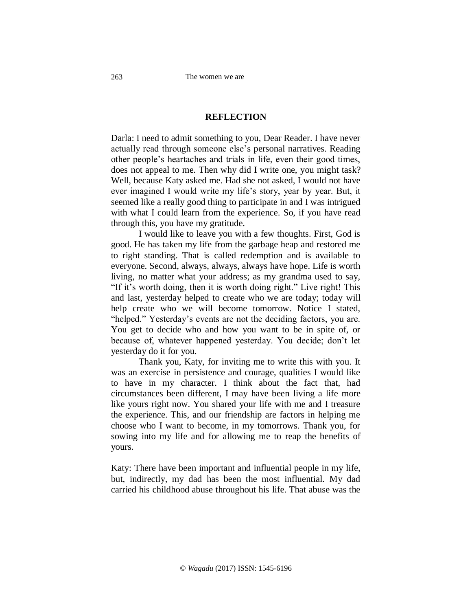# **REFLECTION**

Darla: I need to admit something to you, Dear Reader. I have never actually read through someone else's personal narratives. Reading other people's heartaches and trials in life, even their good times, does not appeal to me. Then why did I write one, you might task? Well, because Katy asked me. Had she not asked, I would not have ever imagined I would write my life's story, year by year. But, it seemed like a really good thing to participate in and I was intrigued with what I could learn from the experience. So, if you have read through this, you have my gratitude.

I would like to leave you with a few thoughts. First, God is good. He has taken my life from the garbage heap and restored me to right standing. That is called redemption and is available to everyone. Second, always, always, always have hope. Life is worth living, no matter what your address; as my grandma used to say, "If it's worth doing, then it is worth doing right." Live right! This and last, yesterday helped to create who we are today; today will help create who we will become tomorrow. Notice I stated, "helped." Yesterday's events are not the deciding factors, you are. You get to decide who and how you want to be in spite of, or because of, whatever happened yesterday. You decide; don't let yesterday do it for you.

Thank you, Katy, for inviting me to write this with you. It was an exercise in persistence and courage, qualities I would like to have in my character. I think about the fact that, had circumstances been different, I may have been living a life more like yours right now. You shared your life with me and I treasure the experience. This, and our friendship are factors in helping me choose who I want to become, in my tomorrows. Thank you, for sowing into my life and for allowing me to reap the benefits of yours.

Katy: There have been important and influential people in my life, but, indirectly, my dad has been the most influential. My dad carried his childhood abuse throughout his life. That abuse was the